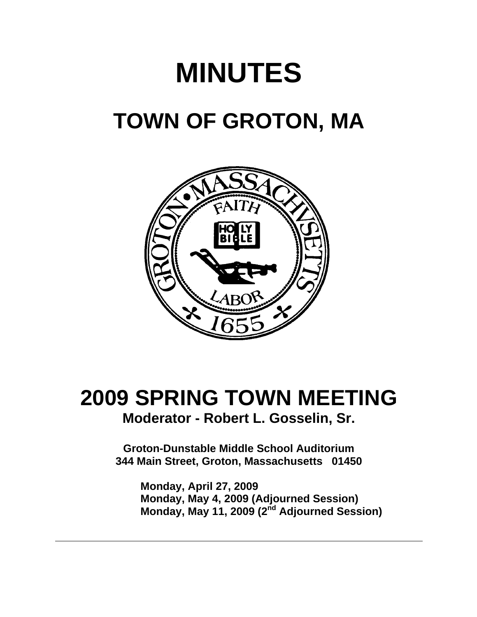# **MINUTES TOWN OF GROTON, MA**



## **2009 SPRING TOWN MEETING Moderator - Robert L. Gosselin, Sr.**

**Groton-Dunstable Middle School Auditorium 344 Main Street, Groton, Massachusetts 01450**

**Monday, April 27, 2009 Monday, May 4, 2009 (Adjourned Session) Monday, May 11, 2009 (2nd Adjourned Session)**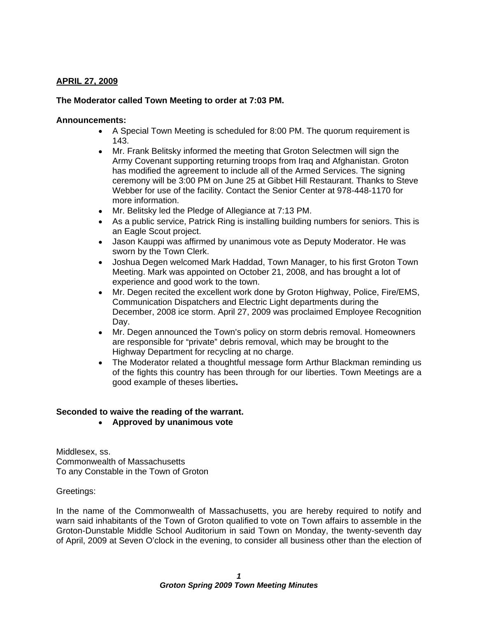### **APRIL 27, 2009**

#### **The Moderator called Town Meeting to order at 7:03 PM.**

#### **Announcements:**

- A Special Town Meeting is scheduled for 8:00 PM. The quorum requirement is 143.
- $\bullet$ Mr. Frank Belitsky informed the meeting that Groton Selectmen will sign the Army Covenant supporting returning troops from Iraq and Afghanistan. Groton has modified the agreement to include all of the Armed Services. The signing ceremony will be 3:00 PM on June 25 at Gibbet Hill Restaurant. Thanks to Steve Webber for use of the facility. Contact the Senior Center at 978-448-1170 for more information.
- Mr. Belitsky led the Pledge of Allegiance at 7:13 PM.
- As a public service, Patrick Ring is installing building numbers for seniors. This is an Eagle Scout project.
- Jason Kauppi was affirmed by unanimous vote as Deputy Moderator. He was sworn by the Town Clerk.
- Joshua Degen welcomed Mark Haddad, Town Manager, to his first Groton Town  $\bullet$ Meeting. Mark was appointed on October 21, 2008, and has brought a lot of experience and good work to the town.
- $\bullet$ Mr. Degen recited the excellent work done by Groton Highway, Police, Fire/EMS, Communication Dispatchers and Electric Light departments during the December, 2008 ice storm. April 27, 2009 was proclaimed Employee Recognition Day.
- $\bullet$ Mr. Degen announced the Town's policy on storm debris removal. Homeowners are responsible for "private" debris removal, which may be brought to the Highway Department for recycling at no charge.
- The Moderator related a thoughtful message form Arthur Blackman reminding us  $\bullet$ of the fights this country has been through for our liberties. Town Meetings are a good example of theses liberties**.**

## **Seconded to waive the reading of the warrant.**

**Approved by unanimous vote**

Middlesex, ss. Commonwealth of Massachusetts To any Constable in the Town of Groton

Greetings:

In the name of the Commonwealth of Massachusetts, you are hereby required to notify and warn said inhabitants of the Town of Groton qualified to vote on Town affairs to assemble in the Groton-Dunstable Middle School Auditorium in said Town on Monday, the twenty-seventh day of April, 2009 at Seven O'clock in the evening, to consider all business other than the election of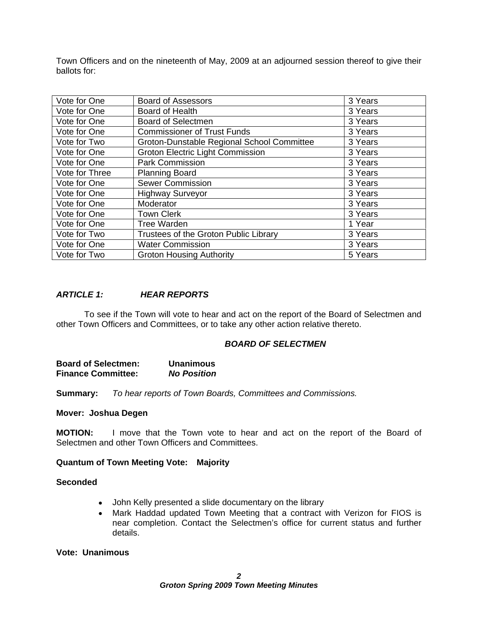Town Officers and on the nineteenth of May, 2009 at an adjourned session thereof to give their ballots for:

| Vote for One   | <b>Board of Assessors</b>                         | 3 Years           |
|----------------|---------------------------------------------------|-------------------|
| Vote for One   | Board of Health                                   | 3 Years           |
| Vote for One   | <b>Board of Selectmen</b>                         | 3 Years           |
| Vote for One   | <b>Commissioner of Trust Funds</b>                | 3 Years           |
| Vote for Two   | <b>Groton-Dunstable Regional School Committee</b> | 3 Years           |
| Vote for One   | <b>Groton Electric Light Commission</b>           | 3 Years           |
| Vote for One   | Park Commission                                   | 3 Years           |
| Vote for Three | Planning Board                                    | 3 Years           |
| Vote for One   | <b>Sewer Commission</b>                           | 3 Years           |
| Vote for One   | <b>Highway Surveyor</b>                           | 3 Years           |
| Vote for One   | Moderator                                         | 3 Years           |
| Vote for One   | <b>Town Clerk</b>                                 | 3 Years           |
| Vote for One   | Tree Warden                                       | <sup>1</sup> Year |
| Vote for Two   | Trustees of the Groton Public Library             | 3 Years           |
| Vote for One   | <b>Water Commission</b>                           | 3 Years           |
| Vote for Two   | <b>Groton Housing Authority</b>                   | 5 Years           |

#### **ARTICLE 1: HEAR REPORTS**

To see if the Town will vote to hear and act on the report of the Board of Selectmen and other Town Officers and Committees, or to take any other action relative thereto.

#### **BOARD OF SELECTMEN**

| <b>Board of Selectmen:</b> | <b>Unanimous</b>   |
|----------------------------|--------------------|
| <b>Finance Committee:</b>  | <b>No Position</b> |

**Summary:** To hear reports of Town Boards, Committees and Commissions.

#### **Mover: Joshua Degen**

**MOTION:** I move that the Town vote to hear and act on the report of the Board of Selectmen and other Town Officers and Committees.

#### **Quantum of Town Meeting Vote: Majority**

#### **Seconded**

- John Kelly presented a slide documentary on the library
- $\bullet$ Mark Haddad updated Town Meeting that a contract with Verizon for FIOS is near completion. Contact the Selectmen's office for current status and further details. **Example 2008 Contract Contract Contract Contract Contract Contract Contract Contract Contract Contract Contract Contract Contract Contract Contract Contract Contract Contract Contract Contract Contract Contract**

#### **Vote: Unanimous**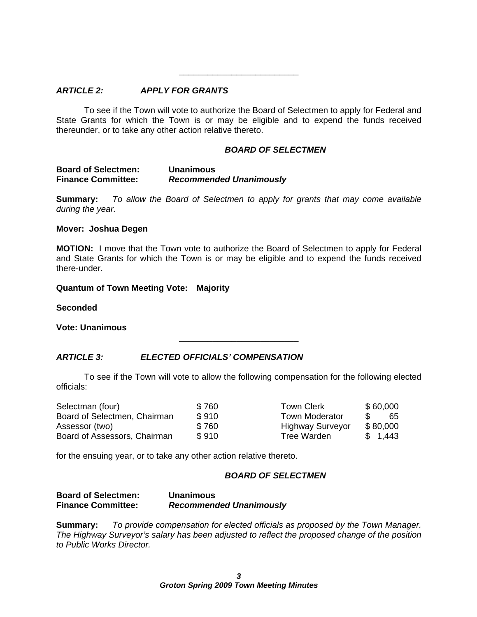#### **ARTICLE 2: APPLY FOR GRANTS**

To see if the Town will vote to authorize the Board of Selectmen to apply for Federal and State Grants for which the Town is or may be eligible and to expend the funds received thereunder, or to take any other action relative thereto.

#### **BOARD OF SELECTMEN**

 $\overline{\phantom{a}}$  , we can assume that the contract of  $\overline{\phantom{a}}$ 

 $\overline{\phantom{a}}$  , we can assume that the contract of  $\overline{\phantom{a}}$ 

**Summary:** To allow the Board of Selectmen to apply for grants that may come available during the year.

#### **Mover: Joshua Degen**

**MOTION:** I move that the Town vote to authorize the Board of Selectmen to apply for Federal and State Grants for which the Town is or may be eligible and to expend the funds received there-under.

#### **Quantum of Town Meeting Vote: Majority**

**Seconded**

**Vote: Unanimous**

#### **ARTICLE 3: ELECTED OFFICIALS COMPENSATION**

To see if the Town will vote to allow the following compensation for the following elected officials:

| Selectman (four)             | $\sim$ $\sim$ $\sim$<br>760 | <b>Town Clerk</b>       | \$60,000 |
|------------------------------|-----------------------------|-------------------------|----------|
| Board of Selectmen, Chairman | \$910                       | Town Moderator          |          |
| Assessor (two)               | \$760                       | <b>Highway Surveyor</b> | \$80,000 |
| Board of Assessors, Chairman | \$910                       | Tree Warden             | 1,443    |

for the ensuing year, or to take any other action relative thereto.

#### **BOARD OF SELECTMEN**

#### **Board of Selectmen: Unanimous Finance Committee: Recommended Unanimously**

**Summary:** To provide compensation for elected officials as proposed by the Town Manager. The Highway Surveyor's salary has been adjusted to reflect the proposed change of the position to Public Works Director.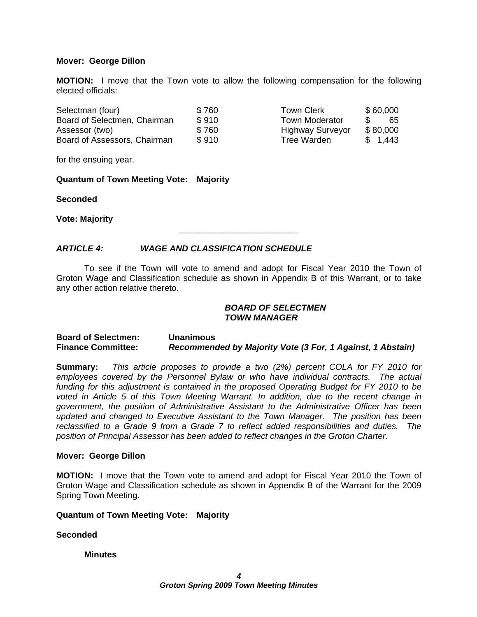#### **Mover: George Dillon**

**MOTION:** I move that the Town vote to allow the following compensation for the following elected officials:

| Selectman (four)             | $\sim$ $\sim$<br>* 16c      | <b>Town Clerk</b>                                | \$60,000 |
|------------------------------|-----------------------------|--------------------------------------------------|----------|
| Board of Selectmen, Chairman | \$910                       | Town Moderator                                   | vu       |
| Assessor (two)               | $\sim$ $\sim$ $\sim$<br>760 | Highway Surveyor                                 | \$80,000 |
| Board of Assessors, Chairman | $Q$ $Q$ $1$ $Q$             | the company's company's company's<br>Tree Warden | 1,443    |

| <b>Town Clerk</b>       | \$60,000            |
|-------------------------|---------------------|
| <b>Town Moderator</b>   | $\mathcal{S}$<br>65 |
| <b>Highway Surveyor</b> | \$80,000            |
| <b>Tree Warden</b>      | \$1,443             |

 $\overline{\phantom{a}}$  , we can assume that the contract of  $\overline{\phantom{a}}$ 

for the ensuing year.

#### **Quantum of Town Meeting Vote: Majority**

**Seconded**

**Vote: Majority**

#### **ARTICLE 4: WAGE AND CLASSIFICATION SCHEDULE**

To see if the Town will vote to amend and adopt for Fiscal Year 2010 the Town of Groton Wage and Classification schedule as shown in Appendix B of this Warrant, or to take any other action relative thereto.

#### **BOARD OF SELECTMEN TOWN MANAGER**

#### **Board of Selectmen: Unanimous Finance Committee: Recommended by Majority Vote (3 For, 1 Against, 1 Abstain)**

**Summary:** This article proposes to provide a two (2%) percent COLA for FY 2010 for employees covered by the Personnel Bylaw or who have individual contracts. The actual funding for this adjustment is contained in the proposed Operating Budget for FY 2010 to be voted in Article 5 of this Town Meeting Warrant. In addition, due to the recent change in government, the position of Administrative Assistant to the Administrative Officer has been updated and changed to Executive Assistant to the Town Manager. The position has been reclassified to a Grade 9 from a Grade 7 to reflect added responsibilities and duties. The position of Principal Assessor has been added to reflect changes in the Groton Charter.

#### **Mover: George Dillon**

**MOTION:** I move that the Town vote to amend and adopt for Fiscal Year 2010 the Town of Groton Wage and Classification schedule as shown in Appendix B of the Warrant for the 2009 Spring Town Meeting.

#### **Quantum of Town Meeting Vote: Majority**

#### **Seconded**

#### **Minutes**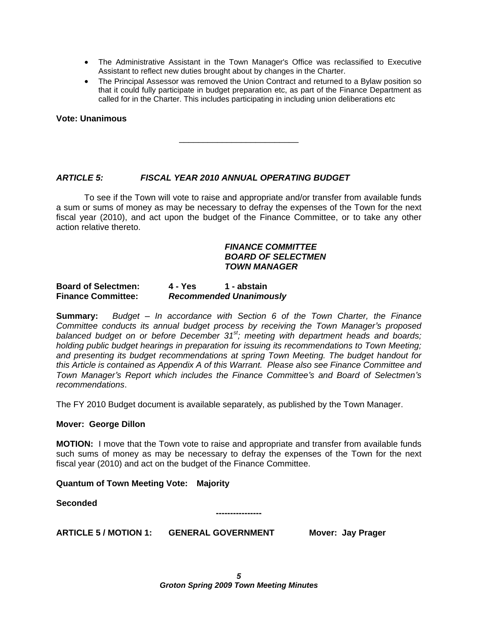- The Administrative Assistant in the Town Manager's Office was reclassified to Executive Assistant to reflect new duties brought about by changes in the Charter.
- The Principal Assessor was removed the Union Contract and returned to a Bylaw position so that it could fully participate in budget preparation etc, as part of the Finance Department as called for in the Charter. This includes participating in including union deliberations etc

**Vote: Unanimous**

#### **ARTICLE 5: FISCAL YEAR 2010 ANNUAL OPERATING BUDGET**

To see if the Town will vote to raise and appropriate and/or transfer from available funds a sum or sums of money as may be necessary to defray the expenses of the Town for the next fiscal year (2010), and act upon the budget of the Finance Committee, or to take any other action relative thereto.

#### **FINANCE COMMITTEE BOARD OF SELECTMEN TOWN MANAGER**

#### **Board of Selectmen: 4 - Yes 1 - abstain Finance Committee: Recommended Unanimously**

**Summary:** Budget – In accordance with Section 6 of the Town Charter, the Finance Committee conducts its annual budget process by receiving the Town Manager's proposed balanced budget on or before December 31<sup>st</sup>; meeting with department heads and boards; holding public budget hearings in preparation for issuing its recommendations to Town Meeting; and presenting its budget recommendations at spring Town Meeting. The budget handout for this Article is contained as Appendix A of this Warrant. Please also see Finance Committee and Town Manager's Report which includes the Finance Committee's and Board of Selectmen's recommendations.

The FY 2010 Budget document is available separately, as published by the Town Manager.

#### **Mover: George Dillon**

**MOTION:** I move that the Town vote to raise and appropriate and transfer from available funds such sums of money as may be necessary to defray the expenses of the Town for the next fiscal year (2010) and act on the budget of the Finance Committee.

#### **Quantum of Town Meeting Vote: Majority**

**Seconded**

**ARTICLE 5 / MOTION 1: GENERAL GOVERNMENT Mover: Jay Prager**

**----------------**

 $\overline{\phantom{a}}$  , we can assume that the contract of  $\overline{\phantom{a}}$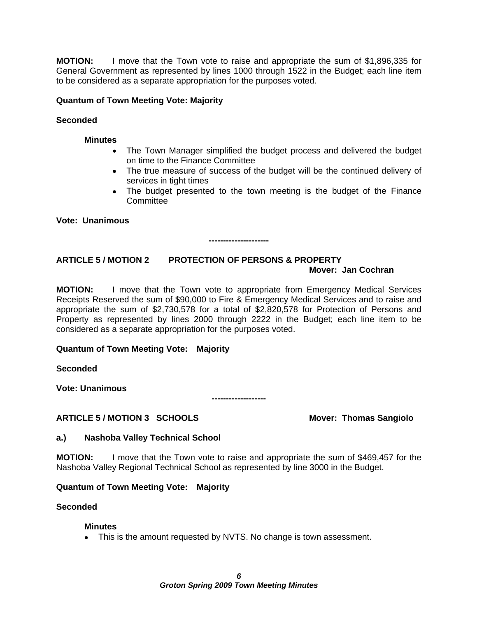**MOTION:** I move that the Town vote to raise and appropriate the sum of \$1,896,335 for General Government as represented by lines 1000 through 1522 in the Budget; each line item to be considered as a separate appropriation for the purposes voted.

#### **Quantum of Town Meeting Vote: Majority**

#### **Seconded**

#### **Minutes**

- The Town Manager simplified the budget process and delivered the budget on time to the Finance Committee
- The true measure of success of the budget will be the continued delivery of services in tight times **the services** in tight times **the services** in tight times **the services** in the service of  $\mathbf{r}$
- The budget presented to the town meeting is the budget of the Finance Committee

**Vote: Unanimous**

### **ARTICLE 5 / MOTION 2 PROTECTION OF PERSONS & PROPERTY Mover: Jan Cochran**

**MOTION:** I move that the Town vote to appropriate from Emergency Medical Services Receipts Reserved the sum of \$90,000 to Fire & Emergency Medical Services and to raise and appropriate the sum of \$2,730,578 for a total of \$2,820,578 for Protection of Persons and Property as represented by lines 2000 through 2222 in the Budget; each line item to be considered as a separate appropriation for the purposes voted.

#### **Quantum of Town Meeting Vote: Majority**

**Seconded**

**Vote: Unanimous**

#### **ARTICLE 5 / MOTION 3 SCHOOLS Mover: Thomas Sangiolo**

**---------------------**

**-------------------**

#### **a.) Nashoba Valley Technical School**

**MOTION:** I move that the Town vote to raise and appropriate the sum of \$469,457 for the Nashoba Valley Regional Technical School as represented by line 3000 in the Budget.

#### **Quantum of Town Meeting Vote: Majority**

#### **Seconded**

#### **Minutes**

This is the amount requested by NVTS. No change is town assessment.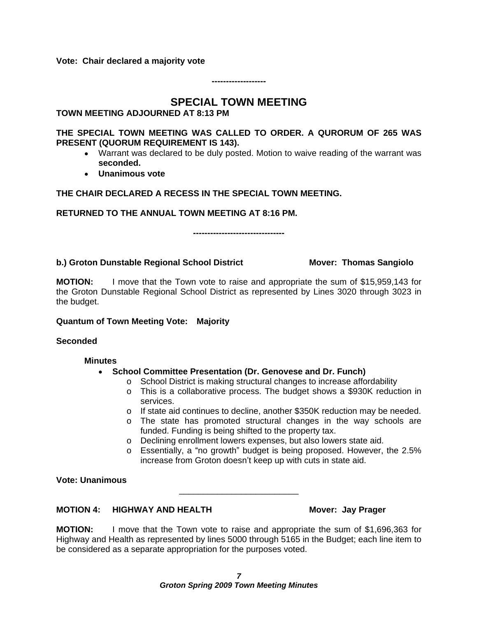**Vote: Chair declared a majority vote**

**SPECIAL TOWN MEETING**

#### **TOWN MEETING ADJOURNED AT 8:13 PM**

**THE SPECIAL TOWN MEETING WAS CALLED TO ORDER. A QURORUM OF 265 WAS PRESENT (QUORUM REQUIREMENT IS 143).** 

- Warrant was declared to be duly posted. Motion to waive reading of the warrant was **seconded. Unanimous vote**
- 

#### **THE CHAIR DECLARED A RECESS IN THE SPECIAL TOWN MEETING.**

**RETURNED TO THE ANNUAL TOWN MEETING AT 8:16 PM. --------------------------------**

#### **b.) Groton Dunstable Regional School District Mover: Thomas Sangiolo**

**-------------------**

 $\overline{\phantom{a}}$  , we can assume that the contract of  $\overline{\phantom{a}}$ 

**MOTION:** I move that the Town vote to raise and appropriate the sum of \$15,959,143 for the Groton Dunstable Regional School District as represented by Lines 3020 through 3023 in the budget.

#### **Quantum of Town Meeting Vote: Majority**

#### **Seconded**

#### **Minutes**

#### **School Committee Presentation (Dr. Genovese and Dr. Funch)**

- o School District is making structural changes to increase affordability
- o This is a collaborative process. The budget shows a \$930K reduction in services. **Example 2018 Services Example 2018**
- o If state aid continues to decline, another \$350K reduction may be needed.
- o The state has promoted structural changes in the way schools are funded. Funding is being shifted to the property tax.
- o Declining enrollment lowers expenses, but also lowers state aid.
- $\circ$  Essentially, a "no growth" budget is being proposed. However, the 2.5% increase from Groton doesn't keep up with cuts in state aid.

#### **Vote: Unanimous**

### **MOTION 4: HIGHWAY AND HEALTH MOTION 4: HIGHWAY AND HEALTH**

**MOTION:** I move that the Town vote to raise and appropriate the sum of \$1,696,363 for Highway and Health as represented by lines 5000 through 5165 in the Budget; each line item to be considered as a separate appropriation for the purposes voted.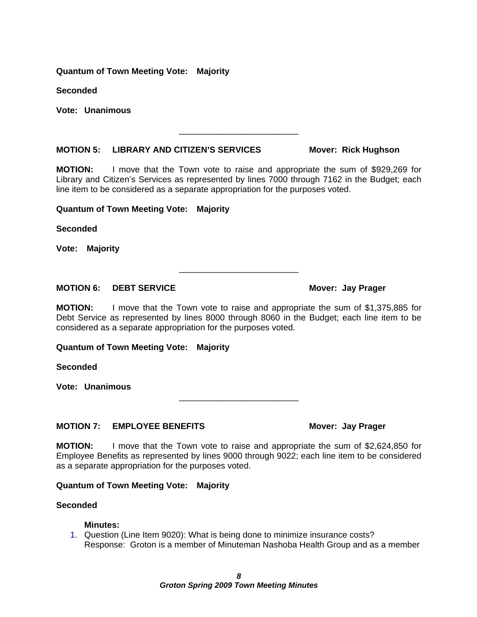#### **Quantum of Town Meeting Vote: Majority**

**Seconded**

**Vote: Unanimous**

#### **MOTION 5: LIBRARY AND CITIZEN S SERVICES Mover: Rick Hughson**

**MOTION:** I move that the Town vote to raise and appropriate the sum of \$929,269 for Library and Citizen's Services as represented by lines 7000 through 7162 in the Budget; each line item to be considered as a separate appropriation for the purposes voted.

#### **Quantum of Town Meeting Vote: Majority**

**Seconded**

**Vote: Majority**

#### **MOTION 6: DEBT SERVICE Mover: Jay Prager**

**MOTION:** I move that the Town vote to raise and appropriate the sum of \$1,375,885 for Debt Service as represented by lines 8000 through 8060 in the Budget; each line item to be considered as a separate appropriation for the purposes voted.

#### **Quantum of Town Meeting Vote: Majority**

**Seconded**

**Vote: Unanimous**

#### **MOTION 7: EMPLOYEE BENEFITS Mover: Jay Prager**

**MOTION:** I move that the Town vote to raise and appropriate the sum of \$2,624,850 for Employee Benefits as represented by lines 9000 through 9022; each line item to be considered as a separate appropriation for the purposes voted.

#### **Quantum of Town Meeting Vote: Majority**

#### **Seconded**

#### **Minutes:**

1. Question (Line Item 9020): What is being done to minimize insurance costs? Response: Groton is a member of Minuteman Nashoba Health Group and as a member

## $\overline{\phantom{a}}$  , we can assume that the contract of  $\overline{\phantom{a}}$

 $\frac{1}{2}$  , the contract of the contract of the contract of the contract of the contract of the contract of the contract of the contract of the contract of the contract of the contract of the contract of the contract of t

 $\frac{1}{2}$  , the contract of the contract of the contract of the contract of the contract of the contract of the contract of the contract of the contract of the contract of the contract of the contract of the contract of t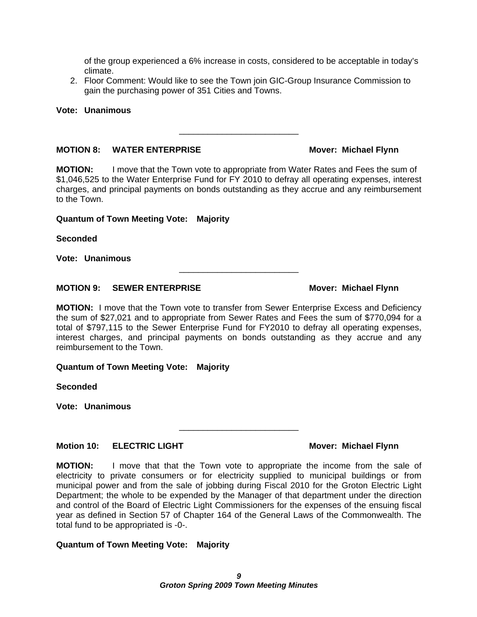of the group experienced a 6% increase in costs, considered to be acceptable in today s climate. **Contract of the contract of the contract of the contract of the contract of the contract of the contract of the contract of the contract of the contract of the contract of the contract of the contract of the cont** 

2. Floor Comment: Would like to see the Town join GIC-Group Insurance Commission to gain the purchasing power of 351 Cities and Towns.

#### **Vote: Unanimous**

#### **MOTION 8: WATER ENTERPRISE Mover: Michael Flynn**

**MOTION:** I move that the Town vote to appropriate from Water Rates and Fees the sum of \$1,046,525 to the Water Enterprise Fund for FY 2010 to defray all operating expenses, interest charges, and principal payments on bonds outstanding as they accrue and any reimbursement to the Town.

#### **Quantum of Town Meeting Vote: Majority**

**Seconded**

**Vote: Unanimous**

### **MOTION 9: SEWER ENTERPRISE Mover: Michael Flynn**

**MOTION:** I move that the Town vote to transfer from Sewer Enterprise Excess and Deficiency the sum of \$27,021 and to appropriate from Sewer Rates and Fees the sum of \$770,094 for a total of \$797,115 to the Sewer Enterprise Fund for FY2010 to defray all operating expenses, interest charges, and principal payments on bonds outstanding as they accrue and any reimbursement to the Town.

#### **Quantum of Town Meeting Vote: Majority**

**Seconded**

**Vote: Unanimous**

## **Motion 10: ELECTRIC LIGHT Mover: Michael Flynn**

**MOTION:** I move that that the Town vote to appropriate the income from the sale of electricity to private consumers or for electricity supplied to municipal buildings or from municipal power and from the sale of jobbing during Fiscal 2010 for the Groton Electric Light Department; the whole to be expended by the Manager of that department under the direction and control of the Board of Electric Light Commissioners for the expenses of the ensuing fiscal year as defined in Section 57 of Chapter 164 of the General Laws of the Commonwealth. The total fund to be appropriated is -0-.

#### **Quantum of Town Meeting Vote: Majority**

 $\frac{1}{2}$  , the contract of the contract of the contract of the contract of the contract of the contract of the contract of the contract of the contract of the contract of the contract of the contract of the contract of t

 $\overline{\phantom{a}}$  , we can assume that the contract of  $\overline{\phantom{a}}$ 

 $\frac{1}{2}$  , the contract of the contract of the contract of the contract of the contract of the contract of the contract of the contract of the contract of the contract of the contract of the contract of the contract of t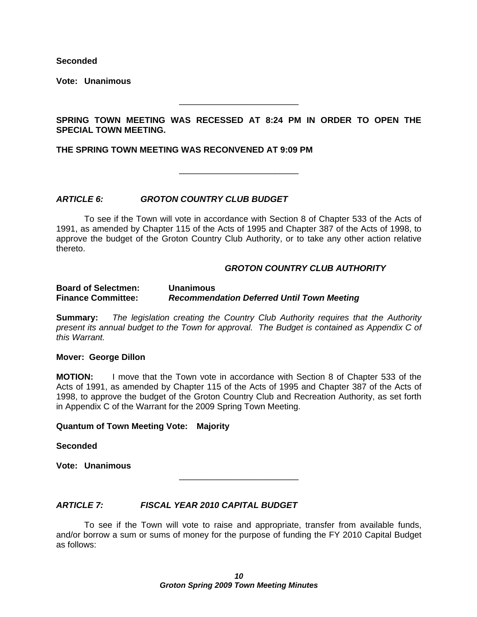**Seconded**

**Vote: Unanimous**

**SPRING TOWN MEETING WAS RECESSED AT 8:24 PM IN ORDER TO OPEN THE** SPECIAL TOWN MEETING.<br>THE SPRING TOWN MEETING WAS RECONVENED AT 9:09 PM

### **ARTICLE 6: GROTON COUNTRY CLUB BUDGET**

To see if the Town will vote in accordance with Section 8 of Chapter 533 of the Acts of 1991, as amended by Chapter 115 of the Acts of 1995 and Chapter 387 of the Acts of 1998, to approve the budget of the Groton Country Club Authority, or to take any other action relative thereto.

#### **GROTON COUNTRY CLUB AUTHORITY**

 $\overline{\phantom{a}}$  , we can assume that the contract of  $\overline{\phantom{a}}$ 

\_\_\_\_\_\_\_\_\_\_\_\_\_\_\_\_\_\_\_\_\_\_\_\_\_

#### **Board of Selectmen: Unanimous Finance Committee: Recommendation Deferred Until Town Meeting**

**Summary:** The legislation creating the Country Club Authority requires that the Authority present its annual budget to the Town for approval. The Budget is contained as Appendix C of this Warrant.

#### **Mover: George Dillon**

**MOTION:** I move that the Town vote in accordance with Section 8 of Chapter 533 of the Acts of 1991, as amended by Chapter 115 of the Acts of 1995 and Chapter 387 of the Acts of 1998, to approve the budget of the Groton Country Club and Recreation Authority, as set forth in Appendix C of the Warrant for the 2009 Spring Town Meeting.

**Quantum of Town Meeting Vote: Majority**

**Seconded**

**Vote: Unanimous**

 $\overline{\phantom{a}}$  , we can assume that the contract of  $\overline{\phantom{a}}$ 

#### **ARTICLE 7: FISCAL YEAR 2010 CAPITAL BUDGET**

To see if the Town will vote to raise and appropriate, transfer from available funds, and/or borrow a sum or sums of money for the purpose of funding the FY 2010 Capital Budget as follows: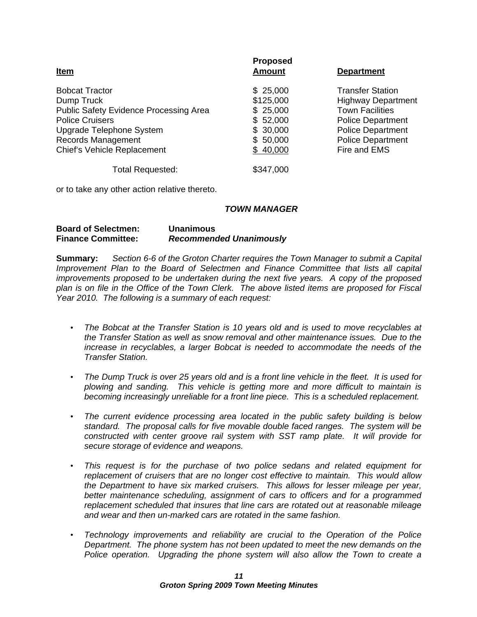| <b>Proposed</b><br><u>Amount</u><br>\$25,000<br>\$125,000<br>\$25,000 | <b>Department</b><br><b>Transfer Station</b><br><b>Highway Department</b><br><b>Town Facilities</b> |
|-----------------------------------------------------------------------|-----------------------------------------------------------------------------------------------------|
|                                                                       |                                                                                                     |
|                                                                       |                                                                                                     |
|                                                                       |                                                                                                     |
|                                                                       |                                                                                                     |
| \$52,000                                                              | <b>Police Department</b>                                                                            |
| \$ 30,000                                                             | <b>Police Department</b>                                                                            |
| \$ 50,000                                                             | <b>Police Department</b>                                                                            |
| \$40,000                                                              | Fire and EMS                                                                                        |
| \$347,000                                                             |                                                                                                     |
|                                                                       |                                                                                                     |

or to take any other action relative thereto.

#### **TOWN MANAGER**

#### **Board of Selectmen: Unanimous Finance Committee: Recommended Unanimously**

**Summary:** Section 6-6 of the Groton Charter requires the Town Manager to submit a Capital Improvement Plan to the Board of Selectmen and Finance Committee that lists all capital improvements proposed to be undertaken during the next five years. A copy of the proposed plan is on file in the Office of the Town Clerk. The above listed items are proposed for Fiscal Year 2010. The following is a summary of each request:

- The Bobcat at the Transfer Station is 10 years old and is used to move recyclables at the Transfer Station as well as snow removal and other maintenance issues. Due to the increase in recyclables, a larger Bobcat is needed to accommodate the needs of the Transfer Station.
- The Dump Truck is over 25 years old and is a front line vehicle in the fleet. It is used for plowing and sanding. This vehicle is getting more and more difficult to maintain is becoming increasingly unreliable for a front line piece. This is a scheduled replacement.
- The current evidence processing area located in the public safety building is below standard. The proposal calls for five movable double faced ranges. The system will be constructed with center groove rail system with SST ramp plate. It will provide for secure storage of evidence and weapons.
- This request is for the purchase of two police sedans and related equipment for  $\bullet$ replacement of cruisers that are no longer cost effective to maintain. This would allow the Department to have six marked cruisers. This allows for lesser mileage per year, better maintenance scheduling, assignment of cars to officers and for a programmed replacement scheduled that insures that line cars are rotated out at reasonable mileage and wear and then un-marked cars are rotated in the same fashion.
- Technology improvements and reliability are crucial to the Operation of the Police Department. The phone system has not been updated to meet the new demands on the Police operation. Upgrading the phone system will also allow the Town to create a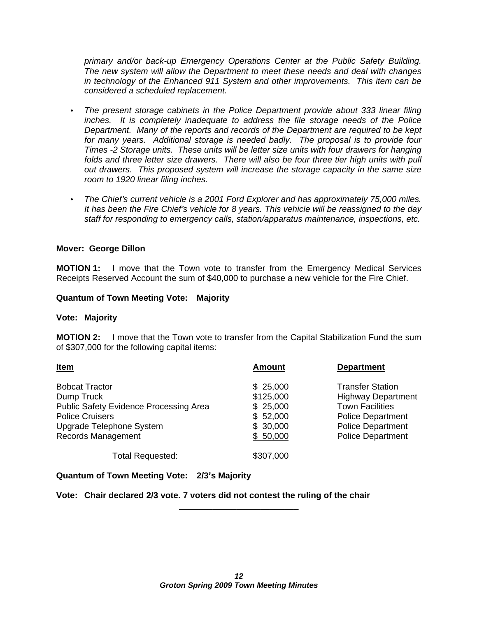primary and/or back-up Emergency Operations Center at the Public Safety Building. The new system will allow the Department to meet these needs and deal with changes in technology of the Enhanced 911 System and other improvements. This item can be considered a scheduled replacement.

- The present storage cabinets in the Police Department provide about 333 linear filing inches. It is completely inadequate to address the file storage needs of the Police Department. Many of the reports and records of the Department are required to be kept for many years. Additional storage is needed badly. The proposal is to provide four Times -2 Storage units. These units will be letter size units with four drawers for hanging folds and three letter size drawers. There will also be four three tier high units with pull out drawers. This proposed system will increase the storage capacity in the same size room to 1920 linear filing inches.
- The Chief's current vehicle is a 2001 Ford Explorer and has approximately 75,000 miles. It has been the Fire Chief's vehicle for 8 years. This vehicle will be reassigned to the day staff for responding to emergency calls, station/apparatus maintenance, inspections, etc.

#### **Mover: George Dillon**

**MOTION 1:** I move that the Town vote to transfer from the Emergency Medical Services Receipts Reserved Account the sum of \$40,000 to purchase a new vehicle for the Fire Chief.

#### **Quantum of Town Meeting Vote: Majority**

#### **Vote: Majority**

**MOTION 2:** I move that the Town vote to transfer from the Capital Stabilization Fund the sum of \$307,000 for the following capital items:

| <u>ltem</u>                            | Amoun     | <b>Department</b>         |
|----------------------------------------|-----------|---------------------------|
| <b>Bobcat Tractor</b>                  | \$25,000  | <b>Transfer Station</b>   |
| Dump Truck                             | \$125,000 | <b>Highway Department</b> |
| Public Safety Evidence Processing Area | \$25,000  | <b>Town Facilities</b>    |
| <b>Police Cruisers</b>                 | \$52,000  | <b>Police Department</b>  |
| Upgrade Telephone System               | \$30,000  | <b>Police Department</b>  |
| Records Management                     | \$6,000   | <b>Police Department</b>  |
|                                        |           |                           |
| <b>Total Requested:</b>                | \$307,000 |                           |

#### **Quantum of Town Meeting Vote: 2/3 s Majority**

**Vote: Chair declared 2/3 vote. 7 voters did not contest the ruling of the chair**

\_\_\_\_\_\_\_\_\_\_\_\_\_\_\_\_\_\_\_\_\_\_\_\_\_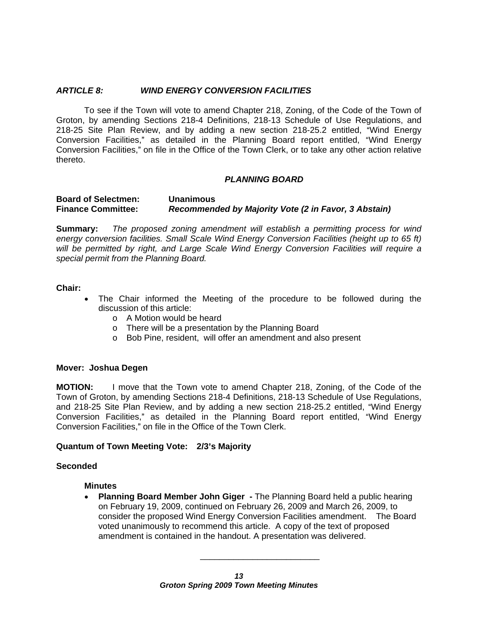#### **ARTICLE 8: WIND ENERGY CONVERSION FACILITIES**

To see if the Town will vote to amend Chapter 218, Zoning, of the Code of the Town of Groton, by amending Sections 218-4 Definitions, 218-13 Schedule of Use Regulations, and 218-25 Site Plan Review, and by adding a new section 218-25.2 entitled, "Wind Energy Conversion Facilities," as detailed in the Planning Board report entitled, "Wind Energy Conversion Facilities," on file in the Office of the Town Clerk, or to take any other action relative thereto.

#### **PLANNING BOARD**

**Board of Selectmen: Unanimous Finance Committee: Recommended by Majority Vote (2 in Favor, 3 Abstain)**

**Summary:** The proposed zoning amendment will establish a permitting process for wind energy conversion facilities. Small Scale Wind Energy Conversion Facilities (height up to 65 ft) will be permitted by right, and Large Scale Wind Energy Conversion Facilities will require a special permit from the Planning Board.

#### **Chair:**

- The Chair informed the Meeting of the procedure to be followed during the discussion of this article:
	- o A Motion would be heard
	- o There will be a presentation by the Planning Board
	- o Bob Pine, resident, will offer an amendment and also present

#### **Mover: Joshua Degen**

**MOTION:** I move that the Town vote to amend Chapter 218, Zoning, of the Code of the Town of Groton, by amending Sections 218-4 Definitions, 218-13 Schedule of Use Regulations, and 218-25 Site Plan Review, and by adding a new section 218-25.2 entitled, "Wind Energy Conversion Facilities," as detailed in the Planning Board report entitled, "Wind Energy Conversion Facilities," on file in the Office of the Town Clerk.

#### **Quantum of Town Meeting Vote: 2/3 s Majority**

#### **Seconded**

#### **Minutes**

**Planning Board Member John Giger -** The Planning Board held a public hearing on February 19, 2009, continued on February 26, 2009 and March 26, 2009, to consider the proposed Wind Energy Conversion Facilities amendment. The Board voted unanimously to recommend this article. A copy of the text of proposed amendment is contained in the handout. A presentation was delivered.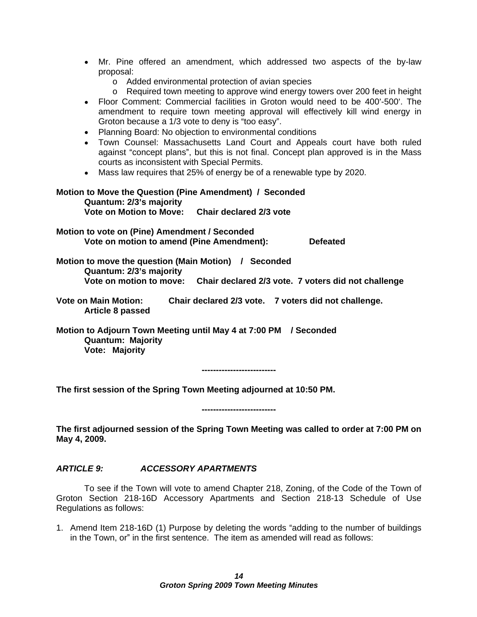- Mr. Pine offered an amendment, which addressed two aspects of the by-law proposal:
	- o Added environmental protection of avian species
	- o Required town meeting to approve wind energy towers over 200 feet in height
- Floor Comment: Commercial facilities in Groton would need to be 400'-500'. The amendment to require town meeting approval will effectively kill wind energy in Groton because a 1/3 vote to deny is "too easy".
- Planning Board: No objection to environmental conditions
- Town Counsel: Massachusetts Land Court and Appeals court have both ruled against "concept plans", but this is not final. Concept plan approved is in the Mass courts as inconsistent with Special Permits.
- Mass law requires that 25% of energy be of a renewable type by 2020.

## **Motion to Move the Question (Pine Amendment) / Seconded Quantum: 2/3 s majority**

**Vote on Motion to Move: Chair declared 2/3 vote**

### **Motion to vote on (Pine) Amendment / Seconded**

**Vote on motion to amend (Pine Amendment): Defeated**

**Motion to move the question (Main Motion) / Seconded Quantum: 2/3 s majority Vote on motion to move: Chair declared 2/3 vote. 7 voters did not challenge**

**Vote on Main Motion: Chair declared 2/3 vote. 7 voters did not challenge. Article 8 passed**

**Motion to Adjourn Town Meeting until May 4 at 7:00 PM / Seconded Quantum: Majority Vote: Majority**

**--------------------------**

**The first session of the Spring Town Meeting adjourned at 10:50 PM.**

**--------------------------**

**The first adjourned session of the Spring Town Meeting was called to order at 7:00 PM on May 4, 2009.**

#### **ARTICLE 9: ACCESSORY APARTMENTS**

To see if the Town will vote to amend Chapter 218, Zoning, of the Code of the Town of Groton Section 218-16D Accessory Apartments and Section 218-13 Schedule of Use Regulations as follows:

1. Amend Item 218-16D (1) Purpose by deleting the words "adding to the number of buildings in the Town, or" in the first sentence. The item as amended will read as follows: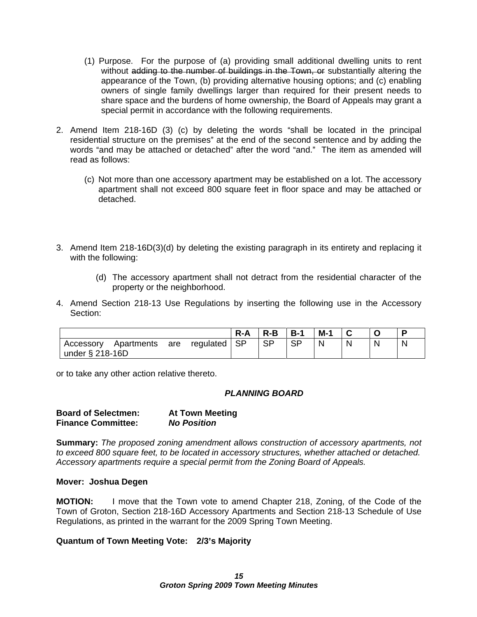- (1) Purpose. For the purpose of (a) providing small additional dwelling units to rent without adding to the number of buildings in the Town, or substantially altering the appearance of the Town, (b) providing alternative housing options; and (c) enabling owners of single family dwellings larger than required for their present needs to share space and the burdens of home ownership, the Board of Appeals may grant a special permit in accordance with the following requirements.
- 2. Amend Item  $218-16D$  (3) (c) by deleting the words "shall be located in the principal residential structure on the premises" at the end of the second sentence and by adding the words "and may be attached or detached" after the word "and." The item as amended will read as follows:
	- (c) Not more than one accessory apartment may be established on a lot. The accessory apartment shall not exceed 800 square feet in floor space and may be attached or detached.
- 3. Amend Item 218-16D(3)(d) by deleting the existing paragraph in its entirety and replacing it with the following:
	- (d) The accessory apartment shall not detract from the residential character of the property or the neighborhood.
- 4. Amend Section 218-13 Use Regulations by inserting the following use in the Accessory Section: which is a section of the second section of the second section of the section of the second section of the second section of the second section of the second section of the second section of the second section of

or to take any other action relative thereto.

#### **PLANNING BOARD**

| <b>Board of Selectmen:</b>      | <b>At Town Meeting</b> |
|---------------------------------|------------------------|
| --<br><b>Finance Committee:</b> | <b>No Position</b>     |

**Summary:** The proposed zoning amendment allows construction of accessory apartments, not to exceed 800 square feet, to be located in accessory structures, whether attached or detached. Accessory apartments require a special permit from the Zoning Board of Appeals.

#### **Mover: Joshua Degen**

**MOTION:** I move that the Town vote to amend Chapter 218, Zoning, of the Code of the Town of Groton, Section 218-16D Accessory Apartments and Section 218-13 Schedule of Use Regulations, as printed in the warrant for the 2009 Spring Town Meeting.

#### **Quantum of Town Meeting Vote: 2/3 s Majority**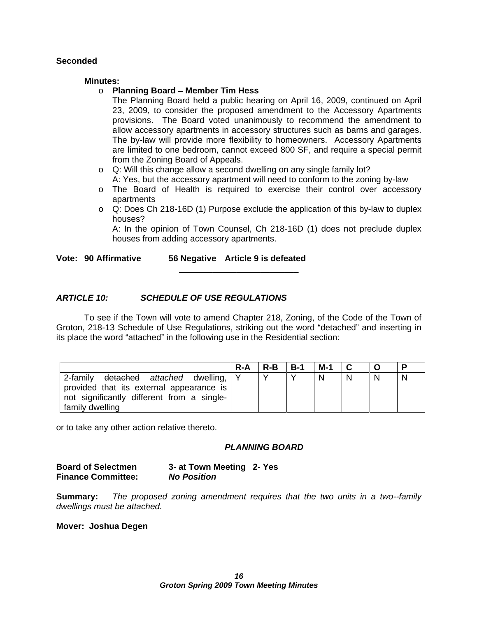#### **Seconded**

#### **Minutes:**

#### o **Planning Board Member Tim Hess**

The Planning Board held a public hearing on April 16, 2009, continued on April 23, 2009, to consider the proposed amendment to the Accessory Apartments provisions. The Board voted unanimously to recommend the amendment to allow accessory apartments in accessory structures such as barns and garages. The by-law will provide more flexibility to homeowners. Accessory Apartments are limited to one bedroom, cannot exceed 800 SF, and require a special permit from the Zoning Board of Appeals.

- o Q: Will this change allow a second dwelling on any single family lot? A: Yes, but the accessory apartment will need to conform to the zoning by-law
- o The Board of Health is required to exercise their control over accessory apartments and the contract of the contract of the contract of the contract of the contract of the contract of
- $\circ$  Q: Does Ch 218-16D (1) Purpose exclude the application of this by-law to duplex houses? The contract of the contract of the contract of the contract of the contract of the contract of the contract of the contract of the contract of the contract of the contract of the contract of the contract of the co

A: In the opinion of Town Counsel, Ch 218-16D (1) does not preclude duplex houses from adding accessory apartments.

 $\overline{\phantom{a}}$  , we can assume that the contract of  $\overline{\phantom{a}}$ 

**Vote: 90 Affirmative 56 Negative Article 9 is defeated**

#### **ARTICLE 10: SCHEDULE OF USE REGULATIONS**

To see if the Town will vote to amend Chapter 218, Zoning, of the Code of the Town of Groton, 218-13 Schedule of Use Regulations, striking out the word "detached" and inserting in its place the word "attached" in the following use in the Residential section:

| R-A   R-B   B-1   M-1   C   O                               |  |  |
|-------------------------------------------------------------|--|--|
| 2-family <del>detached</del> a <i>ttached</i> dwelling,   Y |  |  |
| provided that its external appearance is                    |  |  |
| not significantly different from a single-                  |  |  |
| I family dwelling                                           |  |  |

or to take any other action relative thereto.

#### **PLANNING BOARD**

**Summary:** The proposed zoning amendment requires that the two units in a two-family dwellings must be attached.

**Mover: Joshua Degen**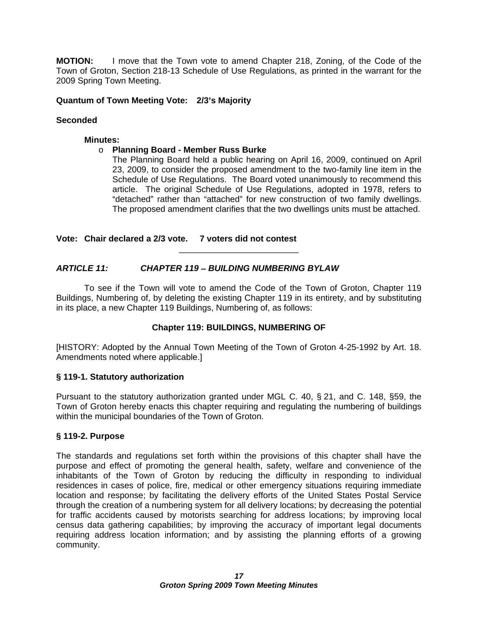**MOTION:** I move that the Town vote to amend Chapter 218, Zoning, of the Code of the Town of Groton, Section 218-13 Schedule of Use Regulations, as printed in the warrant for the 2009 Spring Town Meeting.

#### **Quantum of Town Meeting Vote: 2/3 s Majority**

#### **Seconded**

#### **Minutes:**

#### o **Planning Board - Member Russ Burke**

The Planning Board held a public hearing on April 16, 2009, continued on April 23, 2009, to consider the proposed amendment to the two-family line item in the Schedule of Use Regulations. The Board voted unanimously to recommend this article. The original Schedule of Use Regulations, adopted in 1978, refers to "detached" rather than "attached" for new construction of two family dwellings. The proposed amendment clarifies that the two dwellings units must be attached.

 $\overline{\phantom{a}}$  , we can assume that the contract of  $\overline{\phantom{a}}$ 

#### **Vote: Chair declared a 2/3 vote. 7 voters did not contest**

#### **ARTICLE 11: CHAPTER 119 BUILDING NUMBERING BYLAW**

To see if the Town will vote to amend the Code of the Town of Groton, Chapter 119 Buildings, Numbering of, by deleting the existing Chapter 119 in its entirety, and by substituting in its place, a new Chapter 119 Buildings, Numbering of, as follows:

#### **Chapter 119: BUILDINGS, NUMBERING OF**

[HISTORY: Adopted by the Annual Town Meeting of the Town of Groton 4-25-1992 by Art. 18. Amendments noted where applicable.]

#### **§ 119-1. Statutory authorization**

Pursuant to the statutory authorization granted under MGL C. 40, § 21, and C. 148, §59, the Town of Groton hereby enacts this chapter requiring and regulating the numbering of buildings within the municipal boundaries of the Town of Groton.

#### **§ 119-2. Purpose**

The standards and regulations set forth within the provisions of this chapter shall have the purpose and effect of promoting the general health, safety, welfare and convenience of the inhabitants of the Town of Groton by reducing the difficulty in responding to individual residences in cases of police, fire, medical or other emergency situations requiring immediate location and response; by facilitating the delivery efforts of the United States Postal Service through the creation of a numbering system for all delivery locations; by decreasing the potential for traffic accidents caused by motorists searching for address locations; by improving local census data gathering capabilities; by improving the accuracy of important legal documents requiring address location information; and by assisting the planning efforts of a growing community.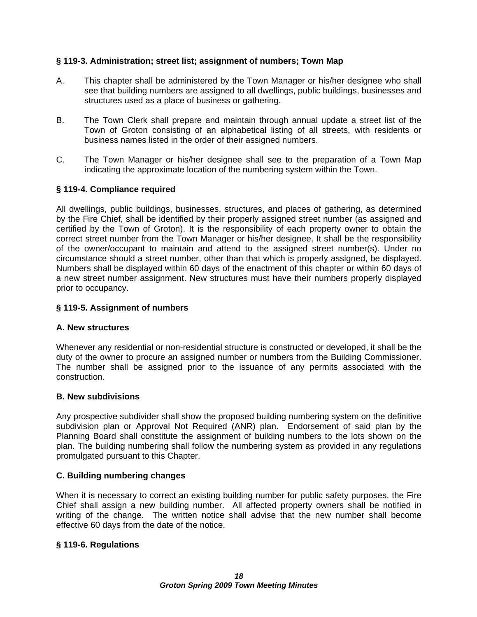#### **§ 119-3. Administration; street list; assignment of numbers; Town Map**

- A. This chapter shall be administered by the Town Manager or his/her designee who shall see that building numbers are assigned to all dwellings, public buildings, businesses and structures used as a place of business or gathering.
- B. The Town Clerk shall prepare and maintain through annual update a street list of the Town of Groton consisting of an alphabetical listing of all streets, with residents or business names listed in the order of their assigned numbers.
- C. The Town Manager or his/her designee shall see to the preparation of a Town Map indicating the approximate location of the numbering system within the Town.

#### **§ 119-4. Compliance required**

All dwellings, public buildings, businesses, structures, and places of gathering, as determined by the Fire Chief, shall be identified by their properly assigned street number (as assigned and certified by the Town of Groton). It is the responsibility of each property owner to obtain the correct street number from the Town Manager or his/her designee. It shall be the responsibility of the owner/occupant to maintain and attend to the assigned street number(s). Under no circumstance should a street number, other than that which is properly assigned, be displayed. Numbers shall be displayed within 60 days of the enactment of this chapter or within 60 days of a new street number assignment. New structures must have their numbers properly displayed prior to occupancy.

#### **§ 119-5. Assignment of numbers**

#### **A. New structures**

Whenever any residential or non-residential structure is constructed or developed, it shall be the duty of the owner to procure an assigned number or numbers from the Building Commissioner. The number shall be assigned prior to the issuance of any permits associated with the construction.

#### **B. New subdivisions**

Any prospective subdivider shall show the proposed building numbering system on the definitive subdivision plan or Approval Not Required (ANR) plan. Endorsement of said plan by the Planning Board shall constitute the assignment of building numbers to the lots shown on the plan. The building numbering shall follow the numbering system as provided in any regulations promulgated pursuant to this Chapter.

#### **C. Building numbering changes**

When it is necessary to correct an existing building number for public safety purposes, the Fire Chief shall assign a new building number. All affected property owners shall be notified in writing of the change. The written notice shall advise that the new number shall become effective 60 days from the date of the notice.

#### **§ 119-6. Regulations**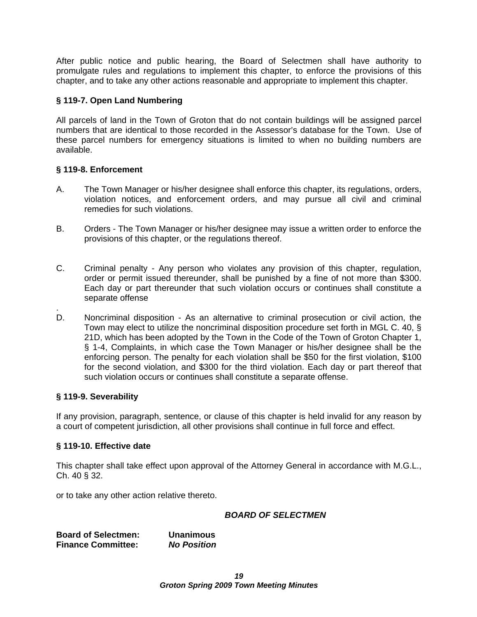After public notice and public hearing, the Board of Selectmen shall have authority to promulgate rules and regulations to implement this chapter, to enforce the provisions of this chapter, and to take any other actions reasonable and appropriate to implement this chapter.

#### **§ 119-7. Open Land Numbering**

All parcels of land in the Town of Groton that do not contain buildings will be assigned parcel numbers that are identical to those recorded in the Assessor's database for the Town. Use of these parcel numbers for emergency situations is limited to when no building numbers are available.

### **§ 119-8. Enforcement**

- A. The Town Manager or his/her designee shall enforce this chapter, its regulations, orders, violation notices, and enforcement orders, and may pursue all civil and criminal remedies for such violations.
- B. Orders The Town Manager or his/her designee may issue a written order to enforce the provisions of this chapter, or the regulations thereof.
- C. Criminal penalty Any person who violates any provision of this chapter, regulation, order or permit issued thereunder, shall be punished by a fine of not more than \$300. Each day or part thereunder that such violation occurs or continues shall constitute a separate offense
- D. Noncriminal disposition As an alternative to criminal prosecution or civil action, the Town may elect to utilize the noncriminal disposition procedure set forth in MGL C. 40, § 21D, which has been adopted by the Town in the Code of the Town of Groton Chapter 1, § 1-4, Complaints, in which case the Town Manager or his/her designee shall be the enforcing person. The penalty for each violation shall be \$50 for the first violation, \$100 for the second violation, and \$300 for the third violation. Each day or part thereof that such violation occurs or continues shall constitute a separate offense.

#### **§ 119-9. Severability**

If any provision, paragraph, sentence, or clause of this chapter is held invalid for any reason by a court of competent jurisdiction, all other provisions shall continue in full force and effect.

#### **§ 119-10. Effective date**

This chapter shall take effect upon approval of the Attorney General in accordance with M.G.L.,  $Ch. 40 \S 32.$ 

or to take any other action relative thereto.

#### **BOARD OF SELECTMEN**

**Board of Selectmen: Unanimous Finance Committee: No Position**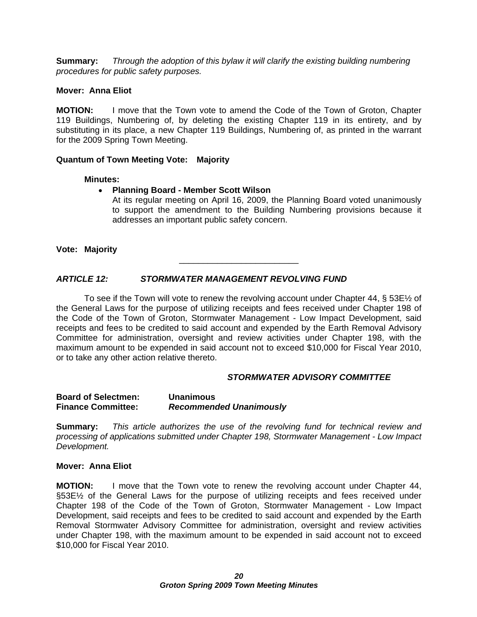**Summary:** Through the adoption of this bylaw it will clarify the existing building numbering procedures for public safety purposes.

#### **Mover: Anna Eliot**

**MOTION:** I move that the Town vote to amend the Code of the Town of Groton, Chapter 119 Buildings, Numbering of, by deleting the existing Chapter 119 in its entirety, and by substituting in its place, a new Chapter 119 Buildings, Numbering of, as printed in the warrant for the 2009 Spring Town Meeting.

#### **Quantum of Town Meeting Vote: Majority**

#### **Minutes:**

#### **Planning Board - Member Scott Wilson**

At its regular meeting on April 16, 2009, the Planning Board voted unanimously to support the amendment to the Building Numbering provisions because it addresses an important public safety concern.

**Vote: Majority**

#### **ARTICLE 12: STORMWATER MANAGEMENT REVOLVING FUND**

To see if the Town will vote to renew the revolving account under Chapter 44,  $\S 53E\%$  of the General Laws for the purpose of utilizing receipts and fees received under Chapter 198 of the Code of the Town of Groton, Stormwater Management - Low Impact Development, said receipts and fees to be credited to said account and expended by the Earth Removal Advisory Committee for administration, oversight and review activities under Chapter 198, with the maximum amount to be expended in said account not to exceed \$10,000 for Fiscal Year 2010, or to take any other action relative thereto.

#### **STORMWATER ADVISORY COMMITTEE**

 $\overline{\phantom{a}}$  , we can assume that the contract of  $\overline{\phantom{a}}$ 

**Summary:** This article authorizes the use of the revolving fund for technical review and processing of applications submitted under Chapter 198, Stormwater Management - Low Impact Development.

#### **Mover: Anna Eliot**

**MOTION:** I move that the Town vote to renew the revolving account under Chapter 44, §53E½ of the General Laws for the purpose of utilizing receipts and fees received under Chapter 198 of the Code of the Town of Groton, Stormwater Management - Low Impact Development, said receipts and fees to be credited to said account and expended by the Earth Removal Stormwater Advisory Committee for administration, oversight and review activities under Chapter 198, with the maximum amount to be expended in said account not to exceed \$10,000 for Fiscal Year 2010.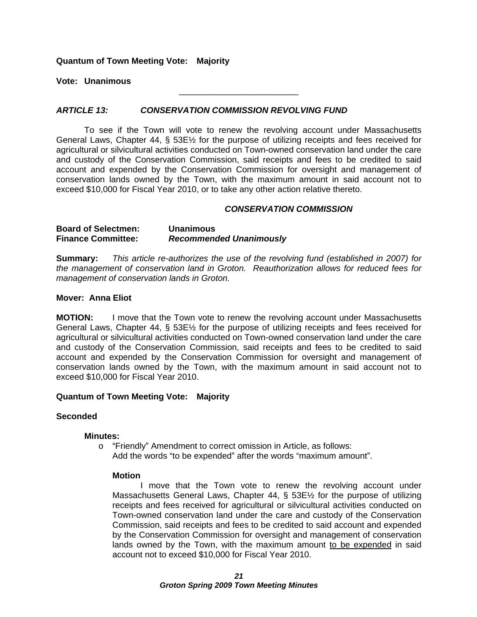#### **Quantum of Town Meeting Vote: Majority**

**Vote: Unanimous**

#### **ARTICLE 13: CONSERVATION COMMISSION REVOLVING FUND**

To see if the Town will vote to renew the revolving account under Massachusetts General Laws, Chapter 44, § 53E½ for the purpose of utilizing receipts and fees received for agricultural or silvicultural activities conducted on Town-owned conservation land under the care and custody of the Conservation Commission, said receipts and fees to be credited to said account and expended by the Conservation Commission for oversight and management of conservation lands owned by the Town, with the maximum amount in said account not to exceed \$10,000 for Fiscal Year 2010, or to take any other action relative thereto.

#### **CONSERVATION COMMISSION**

\_\_\_\_\_\_\_\_\_\_\_\_\_\_\_\_\_\_\_\_\_\_\_\_\_

#### **Board of Selectmen: Unanimous Finance Committee: Recommended Unanimously**

**Summary:** This article re-authorizes the use of the revolving fund (established in 2007) for the management of conservation land in Groton. Reauthorization allows for reduced fees for management of conservation lands in Groton.

#### **Mover: Anna Eliot**

**MOTION:** I move that the Town vote to renew the revolving account under Massachusetts General Laws, Chapter 44, § 53E½ for the purpose of utilizing receipts and fees received for agricultural or silvicultural activities conducted on Town-owned conservation land under the care and custody of the Conservation Commission, said receipts and fees to be credited to said account and expended by the Conservation Commission for oversight and management of conservation lands owned by the Town, with the maximum amount in said account not to exceed \$10,000 for Fiscal Year 2010.

#### **Quantum of Town Meeting Vote: Majority**

#### **Seconded**

#### **Minutes:**

o "Friendly" Amendment to correct omission in Article, as follows: Add the words "to be expended" after the words "maximum amount".

#### **Motion**

I move that the Town vote to renew the revolving account under Massachusetts General Laws, Chapter 44, § 53E½ for the purpose of utilizing receipts and fees received for agricultural or silvicultural activities conducted on Town-owned conservation land under the care and custody of the Conservation Commission, said receipts and fees to be credited to said account and expended by the Conservation Commission for oversight and management of conservation lands owned by the Town, with the maximum amount to be expended in said account not to exceed \$10,000 for Fiscal Year 2010.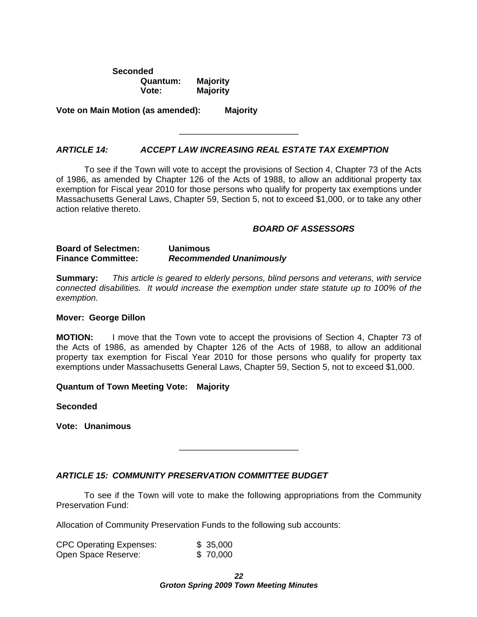**Seconded Quantum: Majority Vote: Majority**

**Vote on Main Motion (as amended): Majority**

#### **ARTICLE 14: ACCEPT LAW INCREASING REAL ESTATE TAX EXEMPTION**

To see if the Town will vote to accept the provisions of Section 4, Chapter 73 of the Acts of 1986, as amended by Chapter 126 of the Acts of 1988, to allow an additional property tax exemption for Fiscal year 2010 for those persons who qualify for property tax exemptions under Massachusetts General Laws, Chapter 59, Section 5, not to exceed \$1,000, or to take any other action relative thereto.

#### **BOARD OF ASSESSORS**

 $\frac{1}{2}$  , the contract of the contract of the contract of the contract of the contract of the contract of the contract of the contract of the contract of the contract of the contract of the contract of the contract of t

 $\overline{\phantom{a}}$  , we can assume that the contract of  $\overline{\phantom{a}}$ 

#### **Board of Selectmen: Uanimous Finance Committee: Recommended Unanimously**

**Summary:** This article is geared to elderly persons, blind persons and veterans, with service connected disabilities. It would increase the exemption under state statute up to 100% of the exemption.

#### **Mover: George Dillon**

**MOTION:** I move that the Town vote to accept the provisions of Section 4, Chapter 73 of the Acts of 1986, as amended by Chapter 126 of the Acts of 1988, to allow an additional property tax exemption for Fiscal Year 2010 for those persons who qualify for property tax exemptions under Massachusetts General Laws, Chapter 59, Section 5, not to exceed \$1,000.

#### **Quantum of Town Meeting Vote: Majority**

**Seconded**

**Vote: Unanimous**

#### **ARTICLE 15: COMMUNITY PRESERVATION COMMITTEE BUDGET**

To see if the Town will vote to make the following appropriations from the Community Preservation Fund:

Allocation of Community Preservation Funds to the following sub accounts:

| <b>CPC Operating Expenses:</b> | 35,000 |  |
|--------------------------------|--------|--|
| Open Space Reserve:            | 70,000 |  |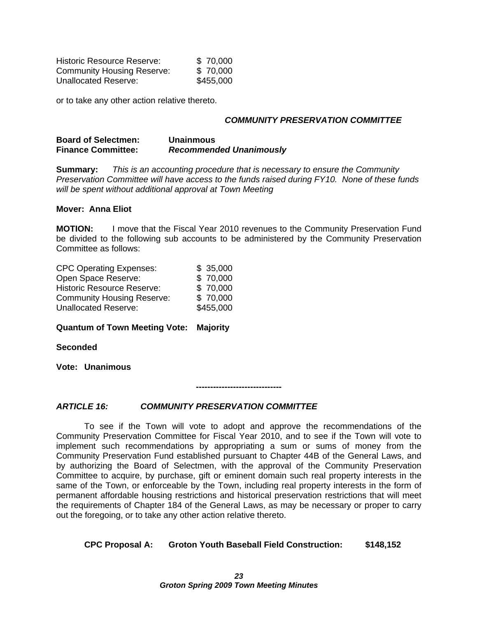| <b>Historic Resource Reserve:</b> | 70,000    |  |
|-----------------------------------|-----------|--|
| <b>Community Housing Reserve:</b> | 70,000    |  |
| <b>Unallocated Reserve:</b>       | \$455,000 |  |

or to take any other action relative thereto.

#### **COMMUNITY PRESERVATION COMMITTEE**

#### **Board of Selectmen: Unainmous Finance Committee: Recommended Unanimously**

**Summary:** This is an accounting procedure that is necessary to ensure the Community Preservation Committee will have access to the funds raised during FY10. None of these funds will be spent without additional approval at Town Meeting

#### **Mover: Anna Eliot**

**MOTION:** I move that the Fiscal Year 2010 revenues to the Community Preservation Fund be divided to the following sub accounts to be administered by the Community Preservation Committee as follows:

| <b>CPC Operating Expenses:</b>    | 35,000    |  |
|-----------------------------------|-----------|--|
| Open Space Reserve:               | 70,000    |  |
| <b>Historic Resource Reserve:</b> | 70,000    |  |
| <b>Community Housing Reserve:</b> | 70,000    |  |
| <b>Unallocated Reserve:</b>       | \$455,000 |  |

#### **Quantum of Town Meeting Vote: Majority**

#### **Seconded**

**Vote: Unanimous**

**------------------------------**

#### **ARTICLE 16: COMMUNITY PRESERVATION COMMITTEE**

To see if the Town will vote to adopt and approve the recommendations of the Community Preservation Committee for Fiscal Year 2010, and to see if the Town will vote to implement such recommendations byappropriating a sum or sums of money from the Community Preservation Fund established pursuant to Chapter 44B of the General Laws, and by authorizing the Board of Selectmen, with the approval of the Community Preservation Committee to acquire, by purchase, gift or eminent domain such real property interests in the same of the Town, or enforceable by the Town, including real property interests in the form of permanent affordable housing restrictions and historical preservation restrictions that will meet the requirements of Chapter 184 of the General Laws, as may be necessary or proper to carry out the foregoing, or to take any other action relative thereto.

#### **CPC Proposal A: Groton Youth Baseball Field Construction: \$148,152**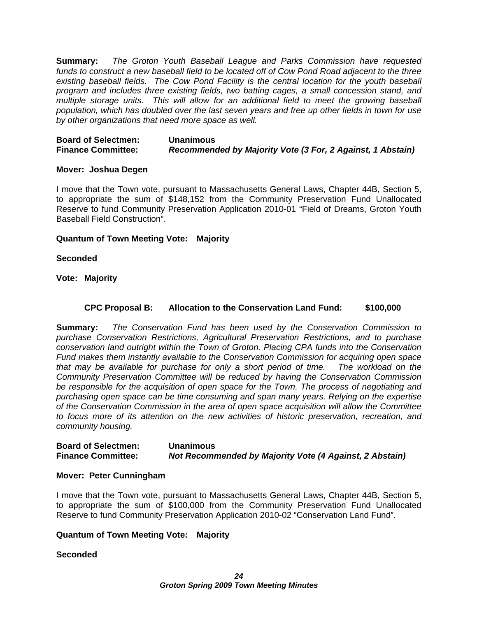**Summary:** The Groton Youth Baseball League and Parks Commission have requested funds to construct a new baseball field to be located off of Cow Pond Road adjacent to the three existing baseball fields. The Cow Pond Facility is the central location for the youth baseball program and includes three existing fields, two batting cages, a small concession stand, and multiple storage units. This will allow for an additional field to meet the growing baseball population, which has doubled over the last seven years and free up other fields in town foruse by other organizations that need more space as well.

#### **Board of Selectmen: Unanimous Finance Committee: Recommended by Majority Vote (3 For, 2 Against, 1 Abstain)**

#### **Mover: Joshua Degen**

I move that the Town vote, pursuant to Massachusetts General Laws, Chapter 44B, Section 5, to appropriate the sum of \$148,152 from the Community Preservation Fund Unallocated Reserve to fund Community Preservation Application 2010-01 "Field of Dreams, Groton Youth Baseball Field Construction". The construction of the construction of the construction of the construction of the construction of the construction of the construction of the construction of the construction of the construc

#### **Quantum of Town Meeting Vote: Majority**

#### **Seconded**

**Vote: Majority** 

#### **CPC Proposal B: Allocation to the Conservation Land Fund: \$100,000**

**Summary:** The Conservation Fund has been used by the Conservation Commission to purchase Conservation Restrictions, Agricultural Preservation Restrictions, and to purchase conservation land outright within the Town of Groton. Placing CPA funds into the Conservation Fund makes them instantly available to the Conservation Commission for acquiring open space that may be available for purchase for only a short period of time. The workload on the Community Preservation Committee will be reduced by having the Conservation Commission be responsible for the acquisition of open space for the Town. The process of negotiating and purchasing open space can be time consuming and span many years. Relying on the expertise of the Conservation Commission in the area of open space acquisition will allow the Committee to focus more of its attention on the new activities of historic preservation, recreation, and community housing.

#### **Board of Selectmen: Unanimous Finance Committee: Not Recommended by Majority Vote (4 Against, 2 Abstain)**

#### **Mover: Peter Cunningham**

I move that the Town vote, pursuant to Massachusetts General Laws, Chapter 44B, Section 5, to appropriate the sum of \$100,000 from the Community Preservation Fund Unallocated Reserve to fund Community Preservation Application 2010-02 "Conservation Land Fund".

#### **Quantum of Town Meeting Vote: Majority**

#### **Seconded**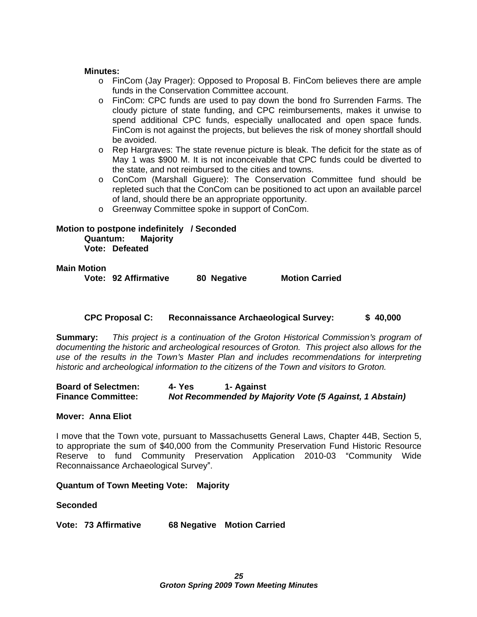#### **Minutes:**

- o FinCom (Jay Prager): Opposed to Proposal B. FinCom believes there are ample funds in the Conservation Committee account.
- o FinCom: CPC funds are used to pay down the bond fro Surrenden Farms. The cloudy picture of state funding, and CPC reimbursements, makes it unwise to spend additional CPC funds, especially unallocated and open space funds. FinCom is not against the projects, but believes the risk of money shortfall should be avoided. The avoided of the state of the state of the state of the state of the state of the state of the state of the state of the state of the state of the state of the state of the state of the state of the state of
- o Rep Hargraves: The state revenue picture is bleak. The deficit for the state as of May 1 was \$900 M. It is not inconceivable that CPC funds could be diverted to the state, and not reimbursed to the cities and towns.
- o ConCom (Marshall Giguere): The Conservation Committee fund should be repleted such that the ConCom can be positioned to act upon an available parcel of land, should there be an appropriate opportunity.
- o Greenway Committee spoke in support of ConCom.

#### **Motion to postpone indefinitely / Seconded Quantum: Majority Vote: Defeated**

#### **Main Motion**

**Vote: 92 Affirmative 80 Negative Motion Carried**

#### **CPC Proposal C: Reconnaissance Archaeological Survey: \$ 40,000**

**Summary:** This project is a continuation of the Groton Historical Commission's program of documenting the historic and archeological resources of Groton. This project also allows for the use of the results in the Town's Master Plan and includes recommendations for interpreting historic and archeological information to the citizens of the Town and visitors to Groton.

**Board of Selectmen: 4- Yes 1- Against Finance Committee: Not Recommended by Majority Vote (5 Against, 1 Abstain)**

#### **Mover: Anna Eliot**

I move that the Town vote, pursuant to Massachusetts General Laws, Chapter 44B, Section 5, to appropriate the sum of \$40,000 from the Community Preservation Fund Historic Resource Reserve to fund Community Preservation Application 2010-03 "Community Wide Reconnaissance Archaeological Survey".

#### **Quantum of Town Meeting Vote: Majority**

#### **Seconded**

**Vote: 73 Affirmative 68 Negative Motion Carried**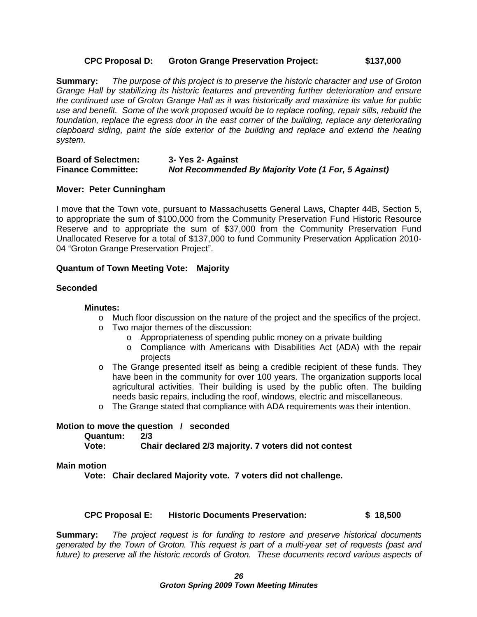#### **CPC Proposal D: Groton Grange Preservation Project: \$137,000**

**Summary:** The purpose of this project is to preserve the historic character and use of Groton Grange Hall by stabilizing its historic features and preventing further deterioration and ensure the continued use of Groton Grange Hall as it was historically and maximize its value for public use and benefit. Some of the work proposed would be to replace roofing, repair sills, rebuild the foundation, replace the egress door in the east corner of the building, replace any deteriorating clapboard siding, paint the side exterior of the building and replace and extend the heating system. The contract of the contract of the contract of the contract of the contract of the contract of the contract of the contract of the contract of the contract of the contract of the contract of the contract of the co

#### **Board of Selectmen: 3- Yes 2- Against Finance Committee: Not Recommended By Majority Vote (1 For, 5 Against)**

#### **Mover: Peter Cunningham**

I move that the Town vote, pursuant to Massachusetts General Laws, Chapter 44B, Section 5, to appropriate the sum of \$100,000 from the Community Preservation Fund Historic Resource Reserve and to appropriate the sum of \$37,000 from the Community Preservation Fund Unallocated Reserve for a total of \$137,000 to fund Community Preservation Application 2010- 04 "Groton Grange Preservation Project".

#### **Quantum of Town Meeting Vote: Majority**

#### **Seconded**

#### **Minutes:**

- o Much floor discussion on the nature of the project and the specifics of the project.
- o Two major themes of the discussion:
	- o Appropriateness of spending public money on a private building
	- o Compliance with Americans with Disabilities Act (ADA) with the repair projects and the contract of the contract of the contract of the contract of the contract of the contract of the contract of the contract of the contract of the contract of the contract of the contract of the contract of t
- $\circ$  The Grange presented itself as being a credible recipient of these funds. They have been in the community for over 100 years. The organization supports local agricultural activities. Their building is used by the public often. The building needs basic repairs, including the roof, windows, electric and miscellaneous.
- o The Grange stated that compliance with ADA requirements was their intention.

#### **Motion to move the question / seconded**

#### **Quantum: 2/3**

**Vote: Chair declared 2/3 majority. 7 voters did not contest**

#### **Main motion**

**Vote: Chair declared Majority vote. 7 voters did not challenge.**

#### **CPC Proposal E: Historic Documents Preservation: \$ 18,500**

**Summary:** The project request is for funding to restore and preserve historical documents generated by the Town of Groton. This request is part of a multi-year set of requests (past and future) to preserve all the historic records of Groton. These documents record various aspects of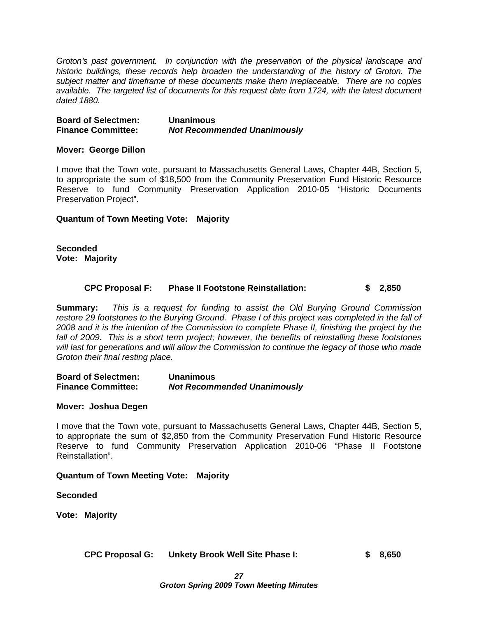Groton's past government. In conjunction with the preservation of the physical landscape and historic buildings, these records help broaden the understanding of the history of Groton. The subject matter and timeframe of these documents make them irreplaceable. There are no copies available. The targeted list of documents for this request date from 1724, with the latest document dated 1880.

**Board of Selectmen: Unanimous Finance Committee: Not Recommended Unanimously**

#### **Mover: George Dillon**

I move that the Town vote, pursuant to Massachusetts General Laws, Chapter 44B, Section 5, to appropriate the sum of \$18,500 from the Community Preservation Fund Historic Resource Reserve to fund Community Preservation Application 2010-05 "Historic Documents Preservation Project". The contract of the contract of the contract of the contract of the contract of the contract of the contract of the contract of the contract of the contract of the contract of the contract of the con

#### **Quantum of Town Meeting Vote: Majority**

**Seconded Vote: Majority**

#### **CPC Proposal F: Phase II Footstone Reinstallation: \$ 2,850**

**Summary:** This is a request for funding to assist the Old Burying Ground Commission restore 29 footstones to the Burying Ground. Phase I of this project was completed in the fall of 2008 and it is the intention of the Commission to complete Phase II, finishing the project by the fall of 2009. This is a short term project; however, the benefits of reinstalling these footstones will last for generations and will allow the Commission to continue the legacy of those who made Groton their final resting place.

**Board of Selectmen: Unanimous Finance Committee: Not Recommended Unanimously**

#### **Mover: Joshua Degen**

I move that the Town vote, pursuant to Massachusetts General Laws, Chapter 44B, Section 5, to appropriate the sum of \$2,850 from the Community Preservation Fund Historic Resource Reserve to fund Community Preservation Application 2010-06 "Phase II Footstone Reinstallation". The contract of the contract of the contract of the contract of the contract of the contract of the contract of the contract of the contract of the contract of the contract of the contract of the contract

**Quantum of Town Meeting Vote: Majority**

**Seconded**

**Vote: Majority**

**CPC Proposal G: Unkety Brook Well Site Phase I: \$ 8,650**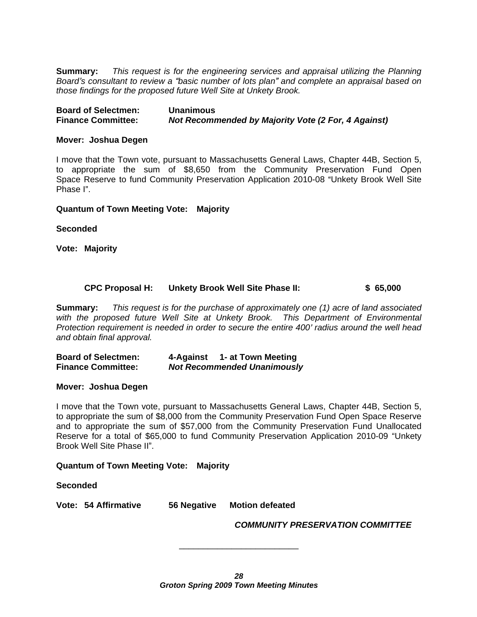**Summary:** This request is for the engineering services and appraisal utilizing the Planning Board's consultant to review a "basic number of lots plan" and complete an appraisal based on those findings for the proposed future Well Site at Unkety Brook.

#### **Mover: Joshua Degen**

I move that the Town vote, pursuant to Massachusetts General Laws, Chapter 44B, Section 5, to appropriate the sum of \$8,650 from the Community Preservation Fund Open Space Reserve to fund Community Preservation Application 2010-08 "Unkety Brook Well Site Phase I".

#### **Quantum of Town Meeting Vote: Majority**

#### **Seconded**

**Vote: Majority** 

#### **CPC Proposal H: Unkety Brook Well Site Phase II: \$ 65,000**

**Summary:** This request is for the purchase of approximately one (1) acre of land associated with the proposed future Well Site at Unkety Brook. This Department of Environmental Protection requirement is needed in order to secure the entire 400' radius around the well head and obtain final approval.

**Board of Selectmen: 4-Against 1- at Town Meeting Finance Committee: Not Recommended Unanimously**

#### **Mover: Joshua Degen**

I move that the Town vote, pursuant to Massachusetts General Laws, Chapter 44B, Section 5, to appropriate the sum of \$8,000 from the Community Preservation Fund Open Space Reserve and to appropriate the sum of \$57,000 from the Community Preservation Fund Unallocated Reserve for a total of \$65,000 to fund Community Preservation Application 2010-09 "Unkety Brook Well Site Phase II". And the state of the state of the state of the state of the state of the state of the state of the state of the state of the state of the state of the state of the state of the state of the state

#### **Quantum of Town Meeting Vote: Majority**

#### **Seconded**

**Vote: 54 Affirmative 56 Negative Motion defeated**

**COMMUNITY PRESERVATION COMMITTEE**

\_\_\_\_\_\_\_\_\_\_\_\_\_\_\_\_\_\_\_\_\_\_\_\_\_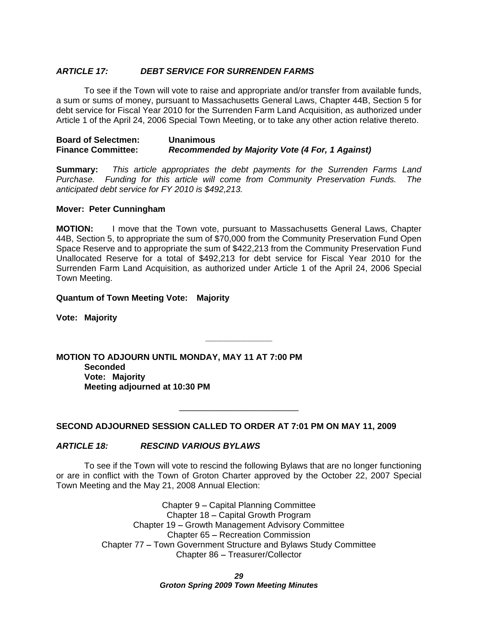#### **ARTICLE 17: DEBT SERVICE FOR SURRENDEN FARMS**

To see if the Town will vote to raise and appropriate and/or transfer from available funds, a sum or sums of money, pursuant to Massachusetts General Laws, Chapter 44B, Section 5 for debt service for Fiscal Year 2010 for the Surrenden Farm Land Acquisition, as authorized under Article 1 of the April 24, 2006 Special Town Meeting, or to take any other action relative thereto.

**Board of Selectmen: Unanimous Finance Committee: Recommended by Majority Vote (4 For, 1 Against)**

**Summary:** This article appropriates the debt payments for the Surrenden Farms Land Purchase. Funding for this article will come from Community Preservation Funds. The anticipated debt service for FY 2010 is \$492,213.

#### **Mover: Peter Cunningham**

**MOTION:** I move that the Town vote, pursuant to Massachusetts General Laws, Chapter 44B, Section 5, to appropriate the sum of \$70,000 from the Community Preservation Fund Open Space Reserve and to appropriate the sum of \$422,213 from the Community Preservation Fund Unallocated Reserve for a total of \$492,213 for debt service for Fiscal Year 2010 for the Surrenden Farm Land Acquisition, as authorized under Article 1 of the April 24, 2006 Special Town Meeting.

**\_\_\_\_\_\_\_\_\_\_\_\_\_\_**

 $\overline{\phantom{a}}$  , we can assume that the contract of  $\overline{\phantom{a}}$ 

#### **Quantum of Town Meeting Vote: Majority**

**Vote: Majority**

**MOTION TO ADJOURN UNTIL MONDAY, MAY 11 AT 7:00 PM Seconded Vote: Majority Meeting adjourned at 10:30 PM** 

#### **SECOND ADJOURNED SESSION CALLED TO ORDER AT 7:01 PM ON MAY 11, 2009**

#### **ARTICLE 18: RESCIND VARIOUS BYLAWS**

To see if the Town will vote to rescind the following Bylaws that are no longer functioning or are in conflict with the Town of Groton Charter approved by the October 22, 2007 Special Town Meeting and the May 21, 2008 Annual Election:

> Chapter 9 - Capital Planning Committee Chapter 18 – Capital Growth Program Chapter 19 - Growth Management Advisory Committee Chapter 65 - Recreation Commission Chapter 77 – Town Government Structure and Bylaws Study Committee Chapter 86 - Treasurer/Collector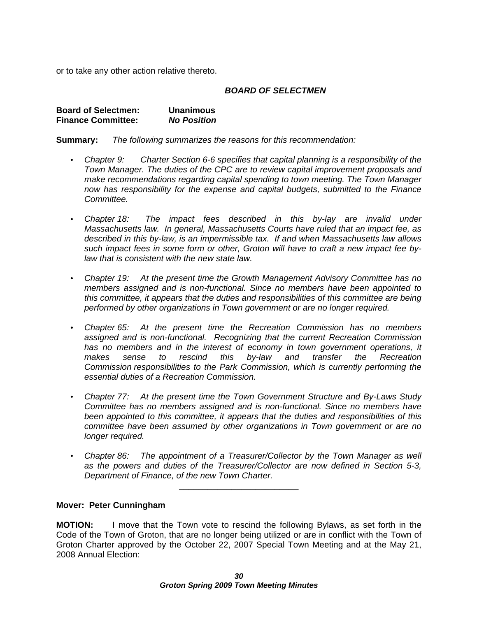or to take any other action relative thereto.

#### **BOARD OF SELECTMEN**

| <b>Board of Selectmen:</b> | <b>Unanimous</b>   |
|----------------------------|--------------------|
|                            |                    |
| <b>Finance Committee:</b>  | <b>No Position</b> |

**Summary:** The following summarizes the reasons for this recommendation:

- Chapter 9: Charter Section 6-6 specifies that capital planning is a responsibility of the Town Manager. The duties of the CPC are to review capital improvement proposals and make recommendations regarding capital spending to town meeting. The Town Manager now has responsibility for the expense and capital budgets, submitted to the Finance Committee.
- Chapter 18: The impact fees described in this by-lay are invalid under Massachusetts law. In general, Massachusetts Courts have ruled that an impact fee, as described in this by-law, is an impermissible tax. If and when Massachusetts law allows such impact fees in some form or other, Groton will have to craft a new impact fee bylaw that is consistent with the new state law.
- Chapter 19: At the present time the Growth Management Advisory Committee has no members assigned and is non-functional. Since no members have been appointed to this committee, it appears that the duties and responsibilities of this committee are being performed by other organizations in Town government or are no longer required.
- Chapter 65: At the present time the Recreation Commission has no members assigned and is non-functional. Recognizing that the current Recreation Commission has no members and in the interest of economy in town government operations, it makes sense to rescind this by-law and transfer the Recreation Commission responsibilities to the Park Commission, which is currently performing the essential duties of a Recreation Commission.
- Chapter 77: At the present time the Town Government Structure and By-Laws Study Committee has no members assigned and is non-functional. Since no members have been appointed to this committee, it appears that the duties and responsibilities of this committee have been assumed by other organizations in Town government or are no longer required.
- Chapter 86: The appointment of a Treasurer/Collector by the Town Manager as well as the powers and duties of the Treasurer/Collector are now defined in Section 5-3, Department of Finance, of the new Town Charter.

 $\overline{\phantom{a}}$  , we can assume that the contract of  $\overline{\phantom{a}}$ 

#### **Mover: Peter Cunningham**

**MOTION:** I move that the Town vote to rescind the following Bylaws, as set forth in the Code of the Town of Groton, that are no longer being utilized or are in conflict with the Town of Groton Charter approved by the October 22, 2007 Special Town Meeting and at the May 21, 2008 Annual Election: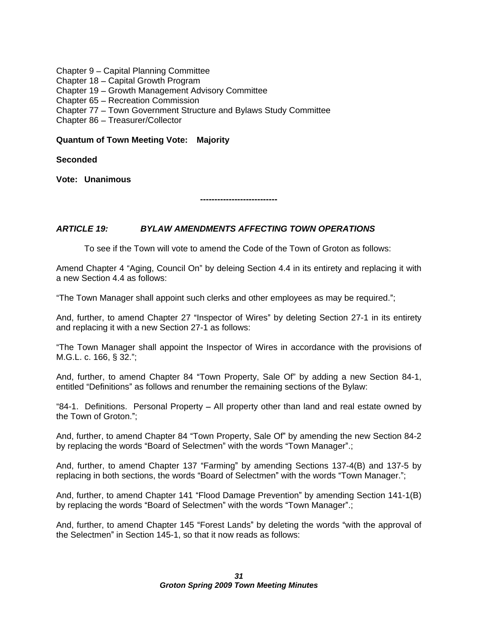Chapter 9 - Capital Planning Committee

Chapter 18 – Capital Growth Program and the control of the control of the control of the control of the control of the control of the control of the control of the control of the control of the control of the control of th

Chapter 19 - Growth Management Advisory Committee

Chapter 65 - Recreation Commission

Chapter 77 - Town Government Structure and Bylaws Study Committee

Chapter 86 - Treasurer/Collector

#### **Quantum of Town Meeting Vote: Majority**

**Seconded**

**Vote: Unanimous**

**---------------------------**

### **ARTICLE 19: BYLAW AMENDMENTS AFFECTING TOWN OPERATIONS**

To see if the Town will vote to amend the Code of the Town of Groton as follows:

Amend Chapter 4 "Aging, Council On" by deleing Section 4.4 in its entirety and replacing it with a new Section 4.4 as follows:

"The Town Manager shall appoint such clerks and other employees as may be required.";

And, further, to amend Chapter 27 "Inspector of Wires" by deleting Section 27-1 in its entirety and replacing it with a new Section 27-1 as follows:

The Town Manager shall appoint the Inspector of Wires in accordance with the provisions of M.G.L. c. 166, § 32."; All and the state of the state of the state of the state of the state of the state of the state of the state of the state of the state of the state of the state of the state of the state of the state

And, further, to amend Chapter 84 "Town Property, Sale Of" by adding a new Section 84-1, entitled "Definitions" as follows and renumber the remaining sections of the Bylaw:

"84-1. Definitions. Personal Property – All property other than land and real estate owned by the Town of Groton. ;

And, further, to amend Chapter 84 "Town Property, Sale Of" by amending the new Section 84-2 by replacing the words "Board of Selectmen" with the words "Town Manager".;

And, further, to amend Chapter 137 "Farming" by amending Sections 137-4(B) and 137-5 by replacing in both sections, the words "Board of Selectmen" with the words "Town Manager.";

And, further, to amend Chapter 141 "Flood Damage Prevention" by amending Section 141-1(B) by replacing the words "Board of Selectmen" with the words "Town Manager".;

And, further, to amend Chapter 145 "Forest Lands" by deleting the words "with the approval of the Selectmen" in Section 145-1, so that it now reads as follows: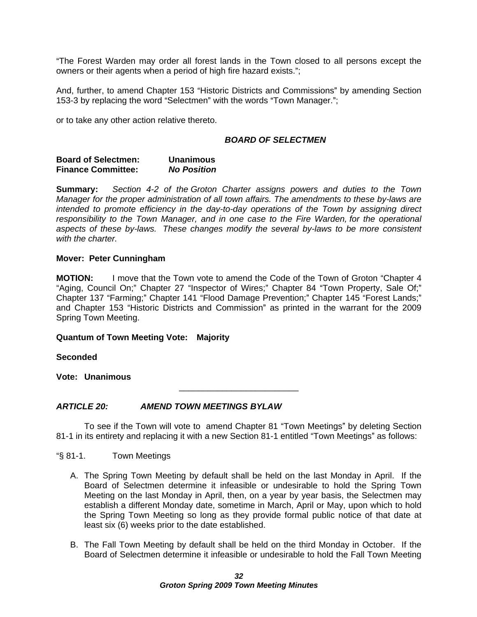The Forest Warden may order allforest lands in the Town closed to all persons except the owners or their agents when a period of high fire hazard exists.";

And, further, to amend Chapter 153 "Historic Districts and Commissions" by amending Section 153-3 by replacing the word "Selectmen" with the words "Town Manager.":

or to take any other action relative thereto.

#### **BOARD OF SELECTMEN**

| <b>Board of Selectmen:</b><br><b>Unanimous</b> |
|------------------------------------------------|
|                                                |

**Summary:** Section 4-2 of the Groton Charter assigns powers and duties to the Town Manager for the proper administration of all town affairs. The amendments to these by-laws are intended to promote efficiency in the day-to-day operations of the Town by assigning direct responsibility to the Town Manager, and in one case to the Fire Warden, for the operational aspects of these by-laws. These changes modify the several by-laws to be more consistent with the charter. with the charter.

#### **Mover: Peter Cunningham**

**MOTION:** I move that the Town vote to amend the Code of the Town of Groton "Chapter 4 "Aging, Council On;" Chapter 27 "Inspector of Wires;" Chapter 84 "Town Property, Sale Of;" Chapter 137 "Farming;" Chapter 141 "Flood Damage Prevention;" Chapter 145 "Forest Lands:" and Chapter 153 "Historic Districts and Commission" as printed in the warrant for the 2009 Spring Town Meeting.

#### **Quantum of Town Meeting Vote: Majority**

**Seconded**

**Vote: Unanimous**

#### **ARTICLE 20: AMEND TOWN MEETINGS BYLAW**

To see if the Town will vote to amend Chapter 81 "Town Meetings" by deleting Section 81-1 in its entirety and replacing it with a new Section 81-1 entitled "Town Meetings" as follows:

 $\overline{\phantom{a}}$  , we can assume that the contract of  $\overline{\phantom{a}}$ 

§ 81-1. Town Meetings

- A. The Spring Town Meeting by default shall be held on the last Monday in April. If the Board of Selectmen determine it infeasible or undesirable to hold the Spring Town Meeting on the last Monday in April, then, on a year by year basis, the Selectmen may establish a different Monday date, sometime in March, April or May, upon which to hold the Spring Town Meeting so long as they provide formal public notice of that date at least six (6) weeks prior to the date established.
- B. The Fall Town Meeting by default shall be held on the third Monday in October. If the Board of Selectmen determine it infeasible or undesirable to hold the Fall Town Meeting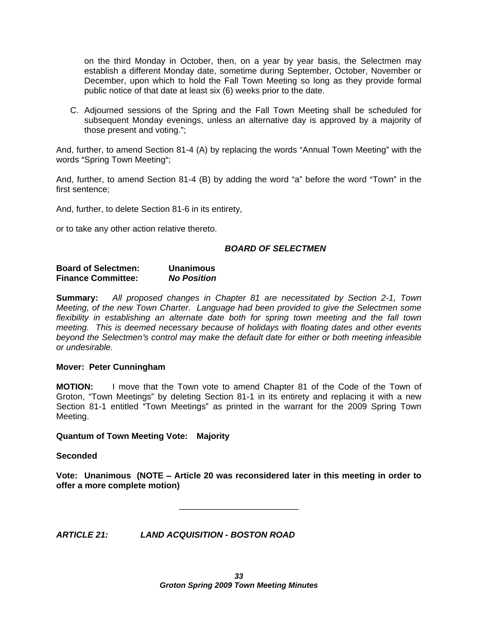on the third Monday in October, then, on a year by year basis, the Selectmen may establish a different Monday date, sometime during September, October, November or December, upon which to hold the Fall Town Meeting so long as they provide formal public notice of that date at least six (6) weeks prior to the date.

C. Adjourned sessions of the Spring and the Fall Town Meeting shall be scheduled for subsequent Monday evenings, unless an alternative day is approved by a majority of those present and voting."; example and the state of the state of the state of the state of the state of the state of the state of the state of the state of the state of the state of the state of the state of the state of

And, further, to amend Section 81-4 (A) by replacing the words "Annual Town Meeting" with the words "Spring Town Meeting";

And, further, to amend Section 81-4 (B) by adding the word "a" before the word "Town" in the first sentence;

And, further, to delete Section 81-6 in its entirety,

or to take any other action relative thereto.

#### **BOARD OF SELECTMEN**

#### **Board of Selectmen: Unanimous Finance Committee: No Position**

**Summary:** All proposed changes in Chapter 81 are necessitated by Section 2-1, Town Meeting, of the new Town Charter. Language had been provided to give the Selectmen some flexibility in establishing an alternate date both for spring town meeting and the fall town meeting. This is deemed necessary because of holidays with floating dates and other events beyond the Selectmen's control may make the default date for either or both meeting infeasible or undesirable.

#### **Mover: Peter Cunningham**

**MOTION:** I move that the Town vote to amend Chapter 81 of the Code of the Town of Groton, "Town Meetings" by deleting Section 81-1 in its entirety and replacing it with a new Section 81-1 entitled "Town Meetings" as printed in the warrant for the 2009 Spring Town Meeting.

#### **Quantum of Town Meeting Vote: Majority**

**Seconded**

**Vote: Unanimous (NOTE Article 20 was reconsidered later in this meeting in order to offer a more complete motion)**

 $\frac{1}{2}$  , the contract of the contract of the contract of the contract of the contract of the contract of the contract of the contract of the contract of the contract of the contract of the contract of the contract of t

**ARTICLE 21: LAND ACQUISITION - BOSTON ROAD**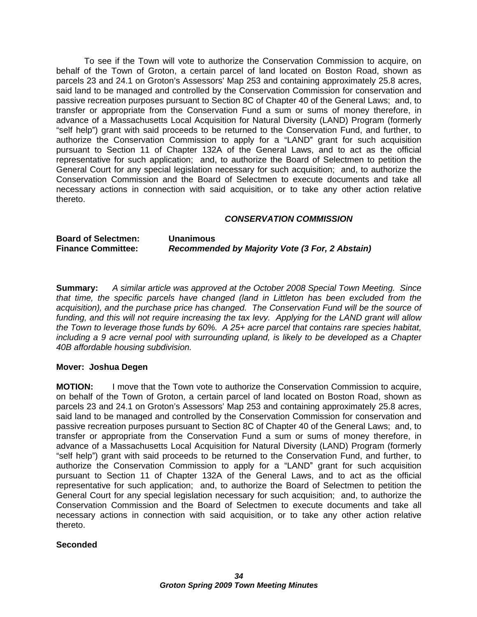To see if the Town will vote to authorize the Conservation Commission to acquire, on behalf of the Town of Groton, a certain parcel of land located on Boston Road, shown as parcels 23 and 24.1 on Groton's Assessors' Map 253 and containing approximately 25.8 acres, said land to be managed and controlled by the Conservation Commission for conservation and passive recreation purposes pursuant to Section 8C of Chapter 40 of the General Laws; and, to transfer or appropriate from the Conservation Fund a sum or sums of money therefore, in advance of a Massachusetts Local Acquisition for Natural Diversity (LAND) Program (formerly "self help") grant with said proceeds to be returned to the Conservation Fund, and further, to authorize the Conservation Commission to apply for a "LAND" grant for such acquisition pursuant to Section 11 of Chapter 132A of the General Laws, and to act as the official representative for such application; and, to authorize the Board of Selectmen to petition the General Court for any special legislation necessary for such acquisition; and, to authorize the Conservation Commission and the Board of Selectmen to execute documents and take all necessary actions in connection with said acquisition, or to take any other action relative thereto.

#### **CONSERVATION COMMISSION**

**Board of Selectmen: Unanimous Finance Committee: Recommended by Majority Vote (3 For, 2 Abstain)**

**Summary:** A similar article was approved at the October 2008 Special Town Meeting. Since that time, the specific parcels have changed (land in Littleton has been excluded from the acquisition), and the purchase price has changed. The Conservation Fund will be the source of funding, and this will not require increasing the tax levy. Applying for the LAND grant will allow the Town to leverage those funds by 60%. A 25+ acre parcel that contains rare species habitat, including a 9 acre vernal pool with surrounding upland, is likely to be developed as a Chapter 40B affordable housing subdivision.

#### **Mover: Joshua Degen**

**MOTION:** I move that the Town vote to authorize the Conservation Commission to acquire, on behalf of the Town of Groton, a certain parcel of land located on Boston Road, shown as parcels 23 and 24.1 on Groton's Assessors' Map 253 and containing approximately 25.8 acres, said land to be managed and controlled by the Conservation Commission for conservation and passive recreation purposes pursuant to Section 8C of Chapter 40 of the General Laws; and, to transfer or appropriate from the Conservation Fund a sum or sums of money therefore, in advance of a Massachusetts Local Acquisition for Natural Diversity (LAND) Program (formerly "self help") grant with said proceeds to be returned to the Conservation Fund, and further, to authorize the Conservation Commission to apply for a "LAND" grant for such acquisition pursuant to Section 11 of Chapter 132A of the General Laws, and to act as the official representative for such application; and, to authorize the Board of Selectmen to petition the General Court for any special legislation necessary for such acquisition; and, to authorize the Conservation Commission and the Board of Selectmen to execute documents and take all necessary actions in connection with said acquisition, or to take any other action relative thereto.

#### **Seconded**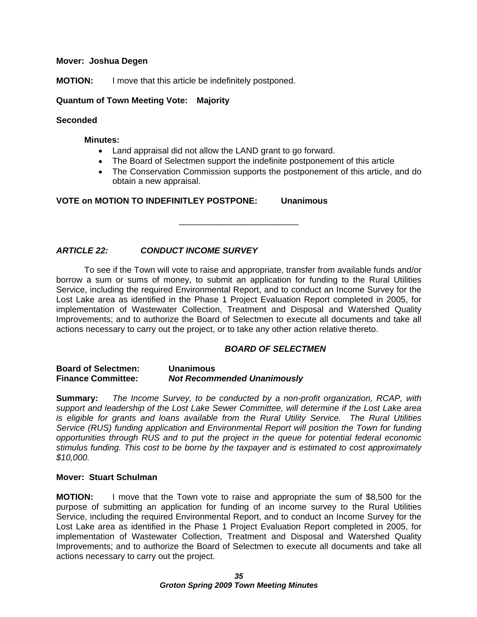#### **Mover: Joshua Degen**

**MOTION:** I move that this article be indefinitely postponed.

**Quantum of Town Meeting Vote: Majority**

#### **Seconded**

#### **Minutes:**

- Land appraisal did not allow the LAND grant to go forward.
- The Board of Selectmen support the indefinite postponement of this article
- The Conservation Commission supports the postponement of this article, and do obtain a new appraisal.

**VOTE on MOTION TO INDEFINITLEY POSTPONE: Unanimous**

### **ARTICLE 22: CONDUCT INCOME SURVEY**

To see if the Town will vote to raise and appropriate, transfer from available funds and/or borrow a sum or sums of money, to submit an application for funding to the Rural Utilities Service, including the required Environmental Report, and to conduct an Income Survey for the Lost Lake area as identified in the Phase 1 Project Evaluation Report completed in 2005, for implementation of Wastewater Collection, Treatment and Disposal and Watershed Quality Improvements; and to authorize the Board of Selectmen to execute all documents and take all actions necessary to carry out the project, or to take any other action relative thereto.

#### **BOARD OF SELECTMEN**

 $\overline{\phantom{a}}$  , we can assume that the contract of  $\overline{\phantom{a}}$ 

#### **Board of Selectmen: Unanimous Finance Committee: Not Recommended Unanimously**

**Summary:** The Income Survey, to be conducted by a non-profit organization, RCAP, with support and leadership of the Lost Lake Sewer Committee, will determine if the Lost Lake area is eligible for grants and loans available from the Rural Utility Service. The Rural Utilities Service (RUS) funding application and Environmental Report will position the Town for funding opportunities through RUS and to put the project in the queue for potential federal economic stimulus funding. This cost to be borne by the taxpayer and is estimated to cost approximately  $$10,000.$ 

#### **Mover: Stuart Schulman**

**MOTION:** I move that the Town vote to raise and appropriate the sum of \$8,500 for the purpose of submitting an application for funding of an income survey to the Rural Utilities Service, including the required Environmental Report, and to conduct an Income Survey for the Lost Lake area as identified in the Phase 1 Project Evaluation Report completed in 2005, for implementation of Wastewater Collection, Treatment and Disposal and Watershed Quality Improvements; and to authorize the Board of Selectmen to execute all documents and take all actions necessary to carry out the project.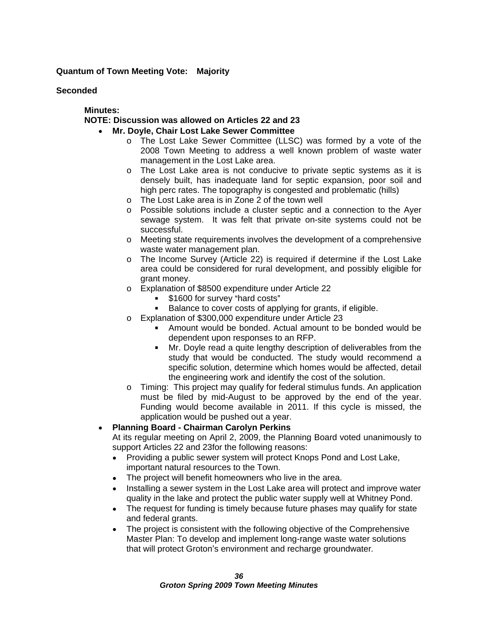#### **Quantum of Town Meeting Vote: Majority**

**Seconded**

**Minutes:**

#### **NOTE: Discussion was allowed on Articles 22 and 23**

- **Mr. Doyle, Chair Lost Lake Sewer Committee** 
	- o The Lost Lake Sewer Committee (LLSC) was formed by a vote of the 2008 Town Meeting to address a well known problem of waste water management in the Lost Lake area.
	- o The Lost Lake area is not conducive to private septic systems as it is densely built, has inadequate land for septic expansion, poor soil and high perc rates. The topography is congested and problematic (hills)
	- o The Lost Lake area is in Zone 2 of the town well
	- o Possible solutions include a cluster septic and a connection to the Ayer sewage system. It was felt that private on-site systems could not be successful. The contract of the contract of the contract of the contract of the contract of the contract of the contract of the contract of the contract of the contract of the contract of the contract of the contract of th
	- o Meeting state requirements involves the development of a comprehensive waste water management plan.
	- o The Income Survey (Article 22) is required if determine if the Lost Lake area could be considered for rural development, and possibly eligible for grant money. The contract of the contract of the contract of the contract of the contract of the contract of the contract of the contract of the contract of the contract of the contract of the contract of the contract of t
	- o Explanation of \$8500 expenditure under Article 22
		- $$1600$  for survey "hard costs"  $$$
		- Balance to cover costs of applying for grants, if eligible.
	- o Explanation of \$300,000 expenditure under Article 23
		- Amount would be bonded. Actual amount to be bonded would be dependent upon responses to an RFP.
		- Mr. Doyle read a quite lengthy description of deliverables from the study that would be conducted. The study would recommend a specific solution, determine which homes would be affected, detail the engineering work and identify the cost of the solution.
	- o Timing: This project may qualify for federal stimulus funds. An application must be filed by mid-August to be approved by the end of the year. Funding would become available in 2011. If this cycle is missed, the application would be pushed out a year.

#### **Planning Board - Chairman Carolyn Perkins**  $\bullet$

At its regular meeting on April 2, 2009, the Planning Board voted unanimously to support Articles 22 and 23for the following reasons:

- Providing a public sewer system will protect Knops Pond and Lost Lake. important natural resources to the Town.
- The project will benefit homeowners who live in the area.  $\bullet$
- Installing a sewer system in the Lost Lake area will protect and improve water  $\bullet$ quality in the lake and protect the public water supply well at Whitney Pond.
- The request for funding is timely because future phases may qualify for state  $\bullet$ and federal grants.
- The project is consistent with the following objective of the Comprehensive  $\bullet$ Master Plan: To develop and implement long-range waste water solutions that will protect Groton's environment and recharge groundwater.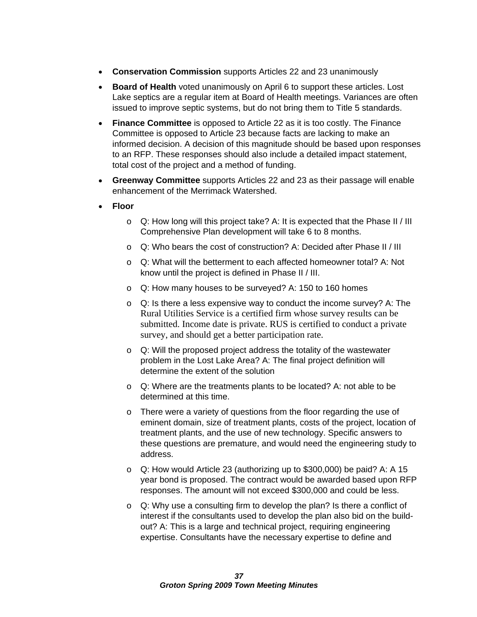- $\bullet$ **Conservation Commission** supports Articles 22 and 23 unanimously
- $\bullet$ **Board of Health** voted unanimously on April 6 to support these articles. Lost Lake septics are a regular item at Board of Health meetings. Variances are often issued to improve septic systems, but do not bring them to Title 5 standards.
- **Finance Committee** is opposed to Article 22 as it is too costly. The Finance Committee is opposed to Article 23 because facts are lacking to make an informed decision. A decision of this magnitude should be based upon responses to an RFP. These responses should also include a detailed impact statement, total cost of the project and a method of funding.
- **Greenway Committee** supports Articles 22 and 23 as their passage will enable  $\bullet$ enhancement of the Merrimack Watershed.
- **Floor**
	- o Q: How long will this project take? A: It is expected that the Phase II / III Comprehensive Plan development will take 6 to 8 months.
	- o Q: Who bears the cost of construction? A: Decided after Phase II / III
	- o Q: What will the betterment to each affected homeowner total? A: Not know until the project is defined in Phase II / III.
	- o Q: How many houses to be surveyed? A: 150 to 160 homes
	- o Q: Is there a less expensive way to conduct the income survey? A: The Rural Utilities Service is a certified firm whose survey results can be submitted. Income date is private. RUS is certified to conduct a private survey, and should get a better participation rate.
	- o Q: Will the proposed project address the totality of the wastewater problem in the Lost Lake Area? A: The final project definition will determine the extent of the solution
	- o Q: Where are the treatments plants to be located? A: not able to be determined at this time.
	- o There were a variety of questions from the floor regarding the use of eminent domain, size of treatment plants, costs of the project, location of treatment plants, and the use of new technology. Specific answers to these questions are premature, and would need the engineering study to address. The contract of the contract of the contract of the contract of the contract of the contract of the contract of the contract of the contract of the contract of the contract of the contract of the contract of the c
	- o Q: How would Article 23 (authorizing up to \$300,000) be paid? A: A 15 year bond is proposed. The contract would be awarded based upon RFP responses. The amount will not exceed \$300,000 and could be less.
	- o Q: Why use a consulting firm to develop the plan? Is there a conflict of interest if the consultants used to develop the plan also bid on the build out? A: This is a large and technical project, requiring engineering expertise. Consultants have the necessary expertise to define and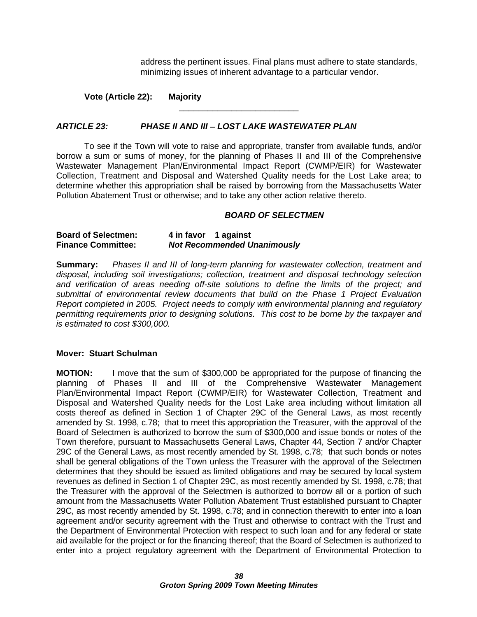address the pertinent issues. Final plans must adhere to state standards, minimizing issues of inherent advantage to a particular vendor.

 $\overline{\phantom{a}}$  , we can assume that the contract of  $\overline{\phantom{a}}$ 

**Vote (Article 22): Majority**

#### **ARTICLE 23: PHASE II AND III LOST LAKE WASTEWATER PLAN**

To see if the Town will vote to raise and appropriate, transfer from available funds, and/or borrow a sum or sums of money, for the planning of Phases II and III of the Comprehensive Wastewater Management Plan/Environmental Impact Report (CWMP/EIR) for Wastewater Collection, Treatment and Disposal and Watershed Quality needs for the Lost Lake area; to determine whether this appropriation shall be raised by borrowing from the Massachusetts Water Pollution Abatement Trust or otherwise; and to take any other action relative thereto.

#### **BOARD OF SELECTMEN**

| <b>Board of Selectmen:</b> | 1 against<br>⊦ in tavor            |
|----------------------------|------------------------------------|
| <b>Finance Committee:</b>  | <b>Not Recommended Unanimously</b> |

**Summary:** Phases II and III of long-term planning for wastewater collection, treatment and disposal, including soil investigations; collection, treatment and disposal technology selection and verification of areas needing off-site solutions to define the limits of the project; and submittal of environmental review documents that build on the Phase 1 Project Evaluation Report completed in 2005. Project needs to comply with environmental planning and regulatory permitting requirements prior to designing solutions. This cost to be borne by the taxpayer and is estimated to cost \$300,000.

#### **Mover: Stuart Schulman**

**MOTION:** I move that the sum of \$300,000 be appropriated for the purpose of financing the planning of Phases II and III of the Comprehensive Wastewater Management Plan/Environmental Impact Report (CWMP/EIR) for Wastewater Collection, Treatment and Disposal and Watershed Quality needs for the Lost Lake area including without limitation all costs thereof as defined in Section 1 of Chapter 29C of the General Laws, as most recently amended by St. 1998, c.78; that to meet this appropriation the Treasurer, with the approval of the Board of Selectmen is authorized to borrow the sum of \$300,000 and issue bonds or notes of the Town therefore, pursuant to Massachusetts General Laws, Chapter 44, Section 7 and/or Chapter 29C of the General Laws, as most recently amended by St. 1998, c.78; that such bonds or notes shall be general obligations of the Town unless the Treasurer with the approval of the Selectmen determines that they should be issued as limited obligations and may be secured by local system revenues as defined in Section 1 of Chapter 29C, as most recently amended by St. 1998, c.78; that the Treasurer with the approval of the Selectmen is authorized to borrow all or a portion of such amount from the Massachusetts Water Pollution Abatement Trust established pursuant to Chapter 29C, as most recently amended by St. 1998, c.78; and in connection therewith to enter into a loan agreement and/or security agreement with the Trust and otherwise to contract with the Trust and the Department of Environmental Protection with respect to such loan and for any federal or state aid available for the project or for the financing thereof; that the Board of Selectmen is authorized to enter into a project regulatory agreement with the Department of Environmental Protection to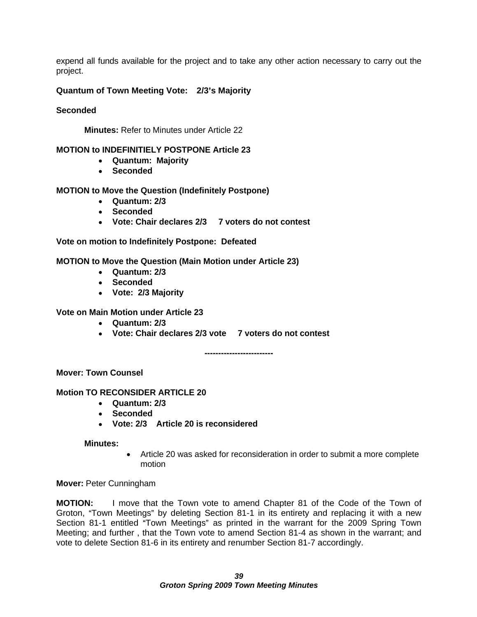expend all funds available for the project and to take any other action necessary to carry out the project. The contract of the contract of the contract of the contract of the contract of the contract of the contract of the contract of the contract of the contract of the contract of the contract of the contract of the c

#### **Quantum of Town Meeting Vote: 2/3 s Majority**

#### **Seconded**

**Minutes:** Refer to Minutes under Article 22

#### **MOTION to INDEFINITIELY POSTPONE Article 23**

- **Quantum: Majority**
- **Seconded**

#### **MOTION to Move the Question (Indefinitely Postpone)**

- **Quantum: 2/3**
- **Seconded**
- **Vote: Chair declares 2/3 7 voters do not contest**

**Vote on motion to Indefinitely Postpone: Defeated**

#### **MOTION to Move the Question (Main Motion under Article 23)**

- **Quantum: 2/3**
- **Seconded**
- **Vote: 2/3 Majority**

#### **Vote on Main Motion under Article 23**

- **Quantum: 2/3**
- **Vote: Chair declares 2/3 vote 7 voters do not contest**

**Mover: Town Counsel** 

#### **Motion TO RECONSIDER ARTICLE 20**

- **Quantum: 2/3**
- **Seconded**
- **Vote: 2/3 Article 20 is reconsidered**

#### **Minutes:**

Article 20 was asked for reconsideration in order to submit a more complete motion **metrical contracts** the contract of the contract of the contract of the contract of the contract of the contract of the contract of the contract of the contract of the contract of the contract of the contract of th

**-------------------------**

**Mover:** Peter Cunningham

**MOTION:** I move that the Town vote to amend Chapter 81 of the Code of the Town of Groton, "Town Meetings" by deleting Section 81-1 in its entirety and replacing it with a new Section 81-1 entitled "Town Meetings" as printed in the warrant for the 2009 Spring Town Meeting; and further , that the Town vote to amend Section 81-4 as shown in the warrant; and vote to delete Section 81-6 in its entirety and renumber Section 81-7 accordingly.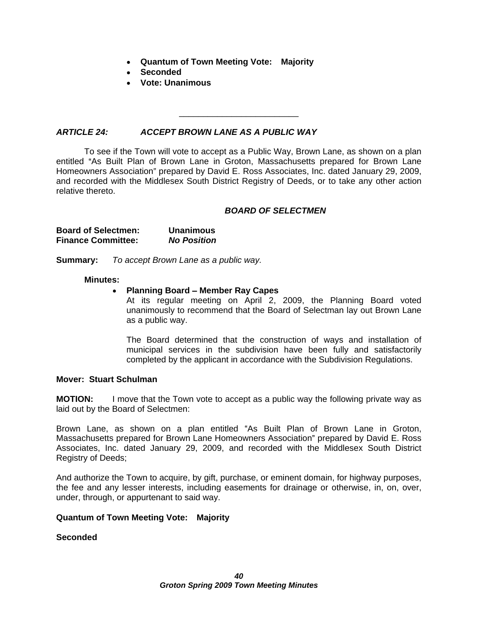- **Quantum of Town Meeting Vote: Majority**
- **Seconded**
- **Vote: Unanimous**

#### **ARTICLE 24: ACCEPT BROWN LANE AS A PUBLIC WAY**

To see if the Town will vote to accept as a Public Way, Brown Lane, as shown on a plan entitled "As Built Plan of Brown Lane in Groton, Massachusetts prepared for Brown Lane Homeowners Association" prepared by David E. Ross Associates, Inc. dated January 29, 2009, and recorded with the Middlesex South District Registry of Deeds, or to take any other action relative thereto.

#### **BOARD OF SELECTMEN**

 $\overline{\phantom{a}}$  , we can assume that the contract of  $\overline{\phantom{a}}$ 

| <b>Board of Selectmen:</b> | <b>Unanimous</b>   |
|----------------------------|--------------------|
| <b>Finance Committee:</b>  | <b>Jo Position</b> |
|                            |                    |

**Summary:** To accept Brown Lane as a public way.

#### **Minutes:**

#### **Planning Board - Member Ray Capes**  $\bullet$

At its regular meeting on April 2, 2009, the Planning Board voted unanimously to recommend that the Board of Selectman lay out Brown Lane as a public way.

The Board determined that the construction of ways and installation of municipal services in the subdivision have been fully and satisfactorily completed by the applicant in accordance with the Subdivision Regulations.

#### **Mover: Stuart Schulman**

**MOTION:** I move that the Town vote to accept as a public way the following private way as laid out by the Board of Selectmen:

Brown Lane, as shown on a plan entitled "As Built Plan of Brown Lane in Groton, Massachusetts prepared for Brown Lane Homeowners Association" prepared by David E. Ross Associates, Inc. dated January 29, 2009, and recorded with the Middlesex South District Registry of Deeds;

And authorize the Town to acquire, by gift, purchase, or eminent domain, for highway purposes, the fee and any lesser interests, including easements for drainage or otherwise, in, on, over, under, through, or appurtenant to said way.

#### **Quantum of Town Meeting Vote: Majority**

#### **Seconded**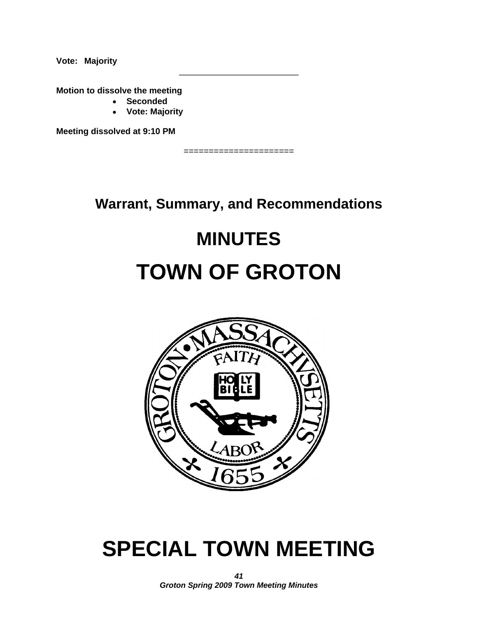**Vote: Majority**

**Motion to dissolve the meeting** 

- **Seconded**
- **Vote: Majority**

**Meeting dissolved at 9:10 PM**

======================

 $\overline{\phantom{a}}$  , we can assume that the contract of  $\overline{\phantom{a}}$ 

**Warrant, Summary, and Recommendations**

## **MINUTES**

## **TOWN OF GROTON**



## **SPECIAL TOWN MEETING**

**41 Groton Spring 2009 Town Meeting Minutes**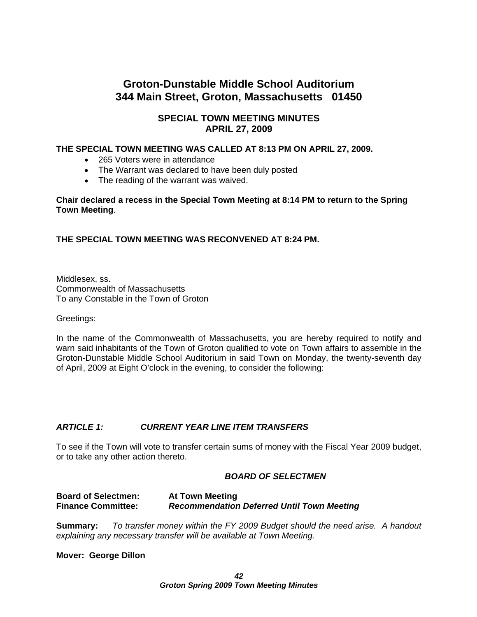## **Groton-Dunstable Middle School Auditorium 344 Main Street, Groton, Massachusetts 01450**

### **SPECIAL TOWN MEETING MINUTES APRIL 27, 2009**

#### **THE SPECIAL TOWN MEETING WAS CALLED AT 8:13 PM ON APRIL 27, 2009.**

- 265 Voters were in attendance
- The Warrant was declared to have been duly posted
- The reading of the warrant was waived.

#### **Chair declared a recess in the Special Town Meeting at 8:14 PM to return to the Spring Town Meeting**.

#### **THE SPECIAL TOWN MEETING WAS RECONVENED AT 8:24 PM.**

Middlesex, ss. Commonwealth of Massachusetts To any Constable in the Town of Groton

Greetings:

In the name of the Commonwealth of Massachusetts, you are hereby required to notify and warn said inhabitants of the Town of Groton qualified to vote on Town affairs to assemble in the Groton-Dunstable Middle School Auditorium in said Town on Monday, the twenty-seventh day of April, 2009 at Eight O'clock in the evening, to consider the following:

#### **ARTICLE 1: CURRENT YEAR LINE ITEM TRANSFERS**

To see if the Town will vote to transfer certain sums of money with the Fiscal Year 2009 budget, or to take any other action thereto.

#### **BOARD OF SELECTMEN**

#### **Board of Selectmen: At Town Meeting Finance Committee: Recommendation Deferred Until Town Meeting**

**Summary:** To transfer money within the FY 2009 Budget should the need arise. A handout explaining any necessary transfer will be available at Town Meeting.

#### **Mover: George Dillon**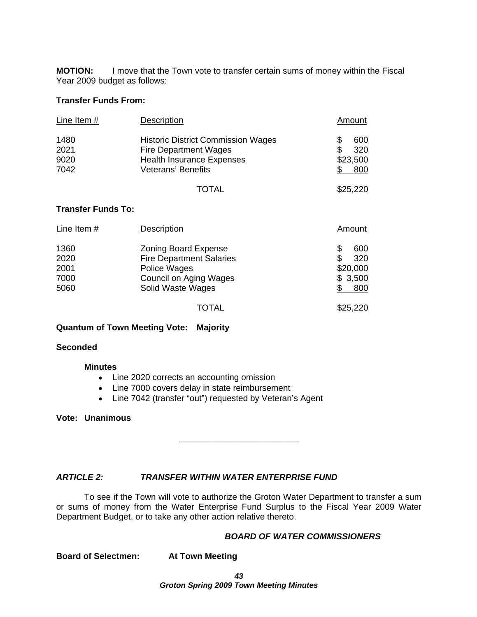**MOTION:** I move that the Town vote to transfer certain sums of money within the Fiscal Year 2009 budget as follows:

#### **Transfer Funds From:**

| Line Item $#$             | Description                               | Amount   |
|---------------------------|-------------------------------------------|----------|
| 1480                      | <b>Historic District Commission Wages</b> | 600      |
| 2021                      | <b>Fire Department Wages</b>              | 320      |
| 9020                      | <b>Health Insurance Expenses</b>          | \$23,500 |
| 7042                      | Veterans' Benefits                        | $-800$   |
|                           |                                           | \$25,220 |
|                           | <b>TOTAL</b>                              |          |
| <b>Transfer Funds To:</b> |                                           |          |

| Line Item # | Description                                 | <b>Amount</b> |
|-------------|---------------------------------------------|---------------|
| 1360        | <b>Zoning Board Expense</b>                 | 600           |
| 2020        | <b>Fire Department Salaries</b>             | 320           |
| 2001        | Police Wages                                | \$20,000      |
| 7000        |                                             | \$3,500       |
| 5060        | Council on Aging Wages<br>Solid Waste Wages | $-800$        |
|             |                                             |               |
|             | <b>TOTAL</b>                                | \$25,220      |

#### **Quantum of Town Meeting Vote: Majority**

#### **Seconded**

#### **Minutes**

- Line 2020 corrects an accounting omission
- Line 7000 covers delay in state reimbursement
- Line 7042 (transfer "out") requested by Veteran's Agent

#### **Vote: Unanimous**

#### **ARTICLE 2: TRANSFER WITHIN WATER ENTERPRISE FUND**

To see if the Town will vote to authorize the Groton Water Department to transfer a sum or sums of money from the Water Enterprise Fund Surplus to the Fiscal Year 2009 Water Department Budget, or to take any other action relative thereto.

#### **BOARD OF WATER COMMISSIONERS**

 $\overline{\phantom{a}}$  , we can assume that the contract of  $\overline{\phantom{a}}$ 

**Board of Selectmen: At Town Meeting**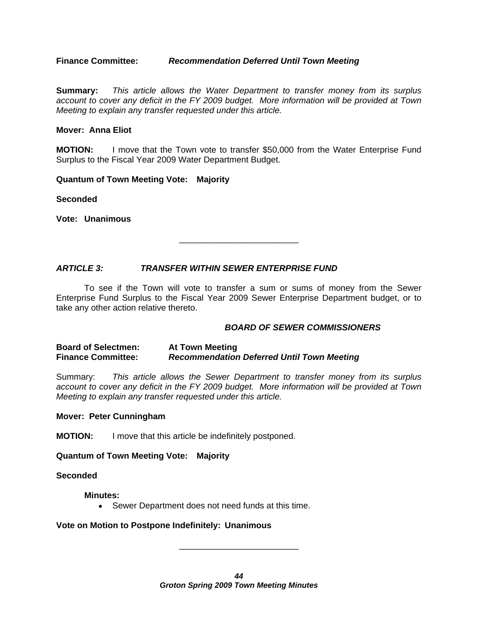**Finance Committee: Recommendation Deferred Until Town Meeting**

**Summary:** This article allows the Water Department to transfer money from its surplus account to cover any deficit in the FY 2009 budget. More information will be provided at Town Meeting to explain any transfer requested under this article.

#### **Mover: Anna Eliot**

**MOTION:** I move that the Town vote to transfer \$50,000 from the Water Enterprise Fund Surplus to the Fiscal Year 2009 Water Department Budget.

#### **Quantum of Town Meeting Vote: Majority**

**Seconded**

**Vote: Unanimous**

**ARTICLE 3: TRANSFER WITHIN SEWER ENTERPRISE FUND**

To see if the Town will vote to transfer a sum or sums of money from the Sewer Enterprise Fund Surplus to the Fiscal Year 2009 Sewer Enterprise Department budget, or to take any other action relative thereto.

#### **BOARD OF SEWER COMMISSIONERS**

 $\frac{1}{2}$  , the contract of the contract of the contract of the contract of the contract of the contract of the contract of the contract of the contract of the contract of the contract of the contract of the contract of t

#### **Board of Selectmen: At Town Meeting Finance Committee: Recommendation Deferred Until Town Meeting**

Summary: This article allows the Sewer Department to transfer money from its surplus account to cover any deficit in the FY 2009 budget. More information will be provided at Town Meeting to explain any transfer requested under this article.

#### **Mover: Peter Cunningham**

**MOTION:** I move that this article be indefinitely postponed.

#### **Quantum of Town Meeting Vote: Majority**

**Seconded**

#### **Minutes:**

Sewer Department does not need funds at this time.

#### **Vote on Motion to Postpone Indefinitely: Unanimous**

**44 Groton Spring 2009 Town Meeting Minutes**

\_\_\_\_\_\_\_\_\_\_\_\_\_\_\_\_\_\_\_\_\_\_\_\_\_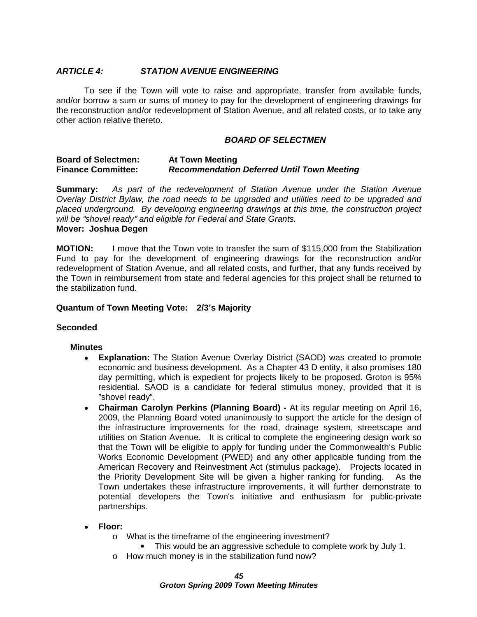#### **ARTICLE 4: STATION AVENUE ENGINEERING**

To see if the Town will vote to raise and appropriate, transfer from available funds, and/or borrow a sum or sums of money to pay for the development of engineering drawings for the reconstruction and/or redevelopment of Station Avenue, and all related costs, or to take any other action relative thereto.

#### **BOARD OF SELECTMEN**

#### **Board of Selectmen: At Town Meeting Finance Committee: Recommendation Deferred Until Town Meeting**

**Summary:** As part of the redevelopment of Station Avenue under the Station Avenue Overlay District Bylaw, the road needs to be upgraded and utilities need to be upgraded and placed underground. By developing engineering drawings at this time, the construction project will be "shovel ready" and eligible for Federal and State Grants. **Mover: Joshua Degen**

**MOTION:** I move that the Town vote to transfer the sum of \$115,000 from the Stabilization Fund to pay for the development of engineering drawings for the reconstruction and/or redevelopment of Station Avenue, and all related costs, and further, that any funds received by the Town in reimbursement from state and federal agencies for this project shall be returned to the stabilization fund.

#### **Quantum of Town Meeting Vote: 2/3 s Majority**

#### **Seconded**

#### **Minutes**

- **Explanation:** The Station Avenue Overlay District (SAOD) was created to promote  $\bullet$ economic and business development. As a Chapter 43 D entity, it also promises 180 day permitting, which is expedient for projects likely to be proposed. Groton is 95% residential. SAOD is a candidate for federal stimulus money, provided that it is shovel ready". The state of the state of the state of the state of the state of the state of the state of the state of the state of the state of the state of the state of the state of the state of the state of the state of
- **Chairman Carolyn Perkins (Planning Board) -** At its regular meeting on April 16, 2009, the Planning Board voted unanimously to support the article for the design of the infrastructure improvements for the road, drainage system, streetscape and utilities on Station Avenue. It is critical to complete the engineering design work so that the Town will be eligible to apply for funding under the Commonwealth's Public Works Economic Development (PWED) and any other applicable funding from the American Recovery and Reinvestment Act (stimulus package). Projects located in the Priority Development Site will be given a higher ranking for funding. As the Town undertakes these infrastructure improvements, it will further demonstrate to potential developers the Town's initiative and enthusiasm for public-private partnerships.
- **Floor:**
	- o What is the timeframe of the engineering investment?
		- This would be an aggressive schedule to complete work by July 1.
	- o How much money is in the stabilization fund now?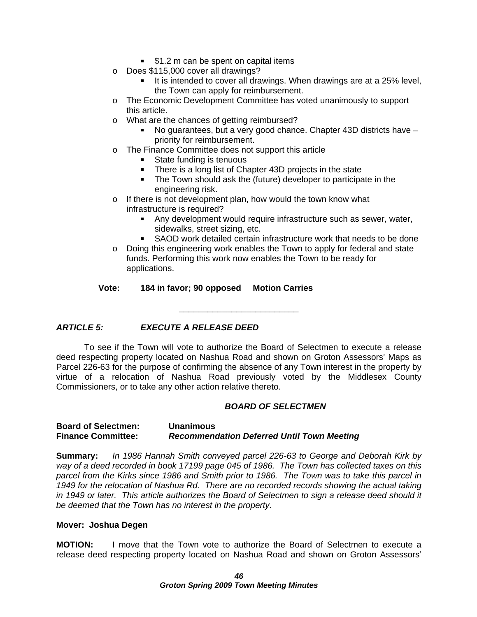- **51.2 m can be spent on capital items**
- o Does \$115,000 cover all drawings?
	- It is intended to cover all drawings. When drawings are at a 25% level, the Town can apply for reimbursement.
- $\circ$  The Economic Development Committee has voted unanimously to support this article.
- o What are the chances of getting reimbursed?
	- No guarantees, but a very good chance. Chapter 43D districts have priority for reimbursement.
- o The Finance Committee does not support this article<br>State funding is tenuous
	- State funding is tenuous state of the state of the state of the state of the state of the state of the state of the state of the state of the state of the state of the state of the state of the state of the state of the st
	- There is a long list of Chapter 43D projects in the state
	- The Town should ask the (future) developer to participate in the engineering risk.
- o If there is not development plan, how would the town know what infrastructure is required?
	- Any development would require infrastructure such as sewer, water, sidewalks, street sizing, etc.
	- $\blacksquare$ SAOD work detailed certain infrastructure work that needs to be done

 $\overline{\phantom{a}}$  , we can assume that the contract of  $\overline{\phantom{a}}$ 

o Doing this engineering work enables the Town to apply for federal and state funds. Performing this work now enables the Town to be ready for applications.

#### **Vote: 184 in favor; 90 opposed Motion Carries**

#### **ARTICLE 5: EXECUTE A RELEASE DEED**

To see if the Town will vote to authorize the Board of Selectmen to execute a release deed respecting property located on Nashua Road and shown on Groton Assessors' Maps as Parcel 226-63 for the purpose of confirming the absence of any Town interest in the property by virtue of a relocation of Nashua Road previously voted by the Middlesex County Commissioners, or to take any other action relative thereto.

#### **BOARD OF SELECTMEN**

#### **Board of Selectmen: Unanimous Finance Committee: Recommendation Deferred Until Town Meeting**

**Summary:** In 1986 Hannah Smith conveyed parcel 226-63 to George and Deborah Kirk by way of a deed recorded in book 17199 page 045 of 1986. The Town has collected taxes on this parcel from the Kirks since 1986 and Smith prior to 1986. The Town was to take this parcel in 1949 for the relocation of Nashua Rd. There are no recorded records showing the actual taking in 1949 or later. This article authorizes the Board of Selectmen to sign a release deed should it be deemed that the Town has no interest in the property.

#### **Mover: Joshua Degen**

**MOTION:** I move that the Town vote to authorize the Board of Selectmen to execute a release deed respecting property located on Nashua Road and shown on Groton Assessors